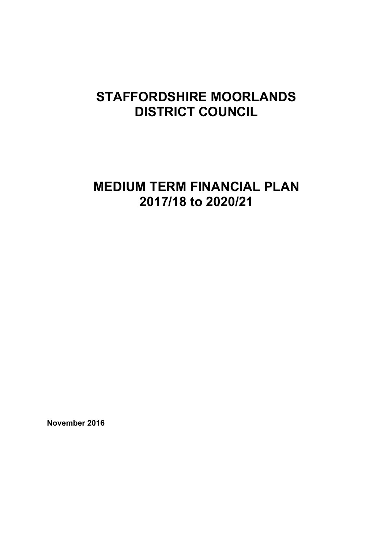# **STAFFORDSHIRE MOORLANDS DISTRICT COUNCIL**

# **MEDIUM TERM FINANCIAL PLAN 2017/18 to 2020/21**

**November 2016**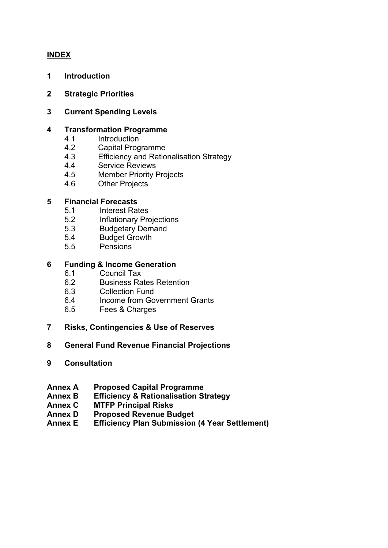# **INDEX**

- **1 Introduction**
- **2 Strategic Priorities**
- **3 Current Spending Levels**

#### **4 Transformation Programme**

- 4.1 Introduction
- 4.2 Capital Programme
- 4.3 Efficiency and Rationalisation Strategy
- 4.4 Service Reviews
- 4.5 Member Priority Projects
- 4.6 Other Projects

#### **5 Financial Forecasts**

- 5.1 Interest Rates
- 5.2 Inflationary Projections
- 5.3 Budgetary Demand
- 5.4 Budget Growth
- 5.5 Pensions

#### **6 Funding & Income Generation**

- 6.1 Council Tax
- 6.2 Business Rates Retention
- 6.3 Collection Fund
- 6.4 Income from Government Grants
- 6.5 Fees & Charges
- **7 Risks, Contingencies & Use of Reserves**
- **8 General Fund Revenue Financial Projections**
- **9 Consultation**
- **Annex A Proposed Capital Programme**
- **Annex B Efficiency & Rationalisation Strategy**
- **Annex C MTFP Principal Risks**
- **Annex D Proposed Revenue Budget**
- **Annex E Efficiency Plan Submission (4 Year Settlement)**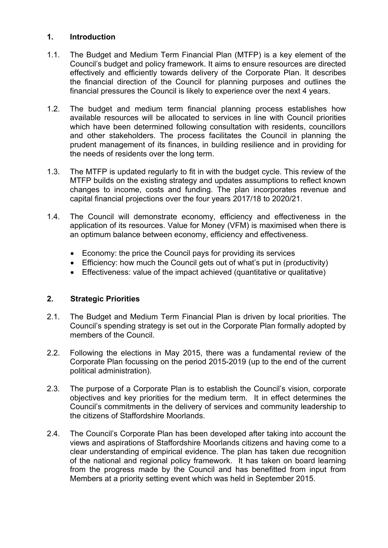## **1. Introduction**

- 1.1. The Budget and Medium Term Financial Plan (MTFP) is a key element of the Council's budget and policy framework. It aims to ensure resources are directed effectively and efficiently towards delivery of the Corporate Plan. It describes the financial direction of the Council for planning purposes and outlines the financial pressures the Council is likely to experience over the next 4 years.
- 1.2. The budget and medium term financial planning process establishes how available resources will be allocated to services in line with Council priorities which have been determined following consultation with residents, councillors and other stakeholders. The process facilitates the Council in planning the prudent management of its finances, in building resilience and in providing for the needs of residents over the long term.
- 1.3. The MTFP is updated regularly to fit in with the budget cycle. This review of the MTFP builds on the existing strategy and updates assumptions to reflect known changes to income, costs and funding. The plan incorporates revenue and capital financial projections over the four years 2017/18 to 2020/21.
- 1.4. The Council will demonstrate economy, efficiency and effectiveness in the application of its resources. Value for Money (VFM) is maximised when there is an optimum balance between economy, efficiency and effectiveness.
	- Economy: the price the Council pays for providing its services
	- Efficiency: how much the Council gets out of what's put in (productivity)
	- Effectiveness: value of the impact achieved (quantitative or qualitative)

# **2. Strategic Priorities**

- 2.1. The Budget and Medium Term Financial Plan is driven by local priorities. The Council's spending strategy is set out in the Corporate Plan formally adopted by members of the Council.
- 2.2. Following the elections in May 2015, there was a fundamental review of the Corporate Plan focussing on the period 2015-2019 (up to the end of the current political administration).
- 2.3. The purpose of a Corporate Plan is to establish the Council's vision, corporate objectives and key priorities for the medium term. It in effect determines the Council's commitments in the delivery of services and community leadership to the citizens of Staffordshire Moorlands.
- 2.4. The Council's Corporate Plan has been developed after taking into account the views and aspirations of Staffordshire Moorlands citizens and having come to a clear understanding of empirical evidence. The plan has taken due recognition of the national and regional policy framework. It has taken on board learning from the progress made by the Council and has benefitted from input from Members at a priority setting event which was held in September 2015.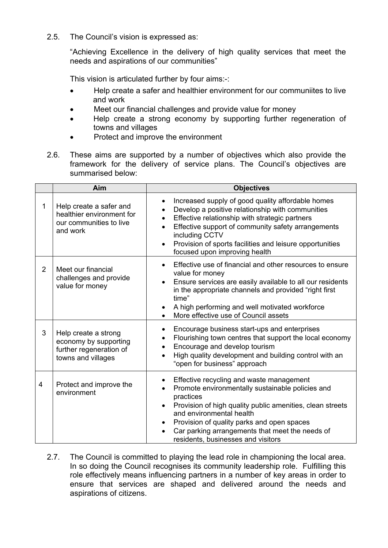2.5. The Council's vision is expressed as:

"Achieving Excellence in the delivery of high quality services that meet the needs and aspirations of our communities"

This vision is articulated further by four aims:-:

- Help create a safer and healthier environment for our communiites to live and work
- Meet our financial challenges and provide value for money
- Help create a strong economy by supporting further regeneration of towns and villages
- Protect and improve the environment
- 2.6. These aims are supported by a number of objectives which also provide the framework for the delivery of service plans. The Council's objectives are summarised below:

|                | Aim                                                                                            | <b>Objectives</b>                                                                                                                                                                                                                                                                                                                         |
|----------------|------------------------------------------------------------------------------------------------|-------------------------------------------------------------------------------------------------------------------------------------------------------------------------------------------------------------------------------------------------------------------------------------------------------------------------------------------|
| 1              | Help create a safer and<br>healthier environment for<br>our communities to live<br>and work    | Increased supply of good quality affordable homes<br>Develop a positive relationship with communities<br>Effective relationship with strategic partners<br>Effective support of community safety arrangements<br>including CCTV<br>Provision of sports facilities and leisure opportunities<br>$\bullet$<br>focused upon improving health |
| $\overline{2}$ | Meet our financial<br>challenges and provide<br>value for money                                | Effective use of financial and other resources to ensure<br>value for money<br>Ensure services are easily available to all our residents<br>$\bullet$<br>in the appropriate channels and provided "right first<br>time"<br>A high performing and well motivated workforce<br>$\bullet$<br>More effective use of Council assets            |
| 3              | Help create a strong<br>economy by supporting<br>further regeneration of<br>towns and villages | Encourage business start-ups and enterprises<br>Flourishing town centres that support the local economy<br>$\bullet$<br>Encourage and develop tourism<br>High quality development and building control with an<br>"open for business" approach                                                                                            |
| 4              | Protect and improve the<br>environment                                                         | Effective recycling and waste management<br>Promote environmentally sustainable policies and<br>practices<br>Provision of high quality public amenities, clean streets<br>and environmental health<br>Provision of quality parks and open spaces<br>Car parking arrangements that meet the needs of<br>residents, businesses and visitors |

2.7. The Council is committed to playing the lead role in championing the local area. In so doing the Council recognises its community leadership role. Fulfilling this role effectively means influencing partners in a number of key areas in order to ensure that services are shaped and delivered around the needs and aspirations of citizens.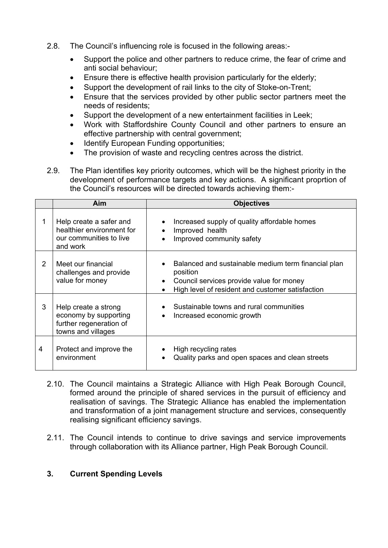- 2.8. The Council's influencing role is focused in the following areas:-
	- Support the police and other partners to reduce crime, the fear of crime and anti social behaviour;
	- Ensure there is effective health provision particularly for the elderly;
	- Support the development of rail links to the city of Stoke-on-Trent;
	- Ensure that the services provided by other public sector partners meet the needs of residents;
	- Support the development of a new entertainment facilities in Leek;
	- Work with Staffordshire County Council and other partners to ensure an effective partnership with central government;
	- Identify European Funding opportunities;
	- The provision of waste and recycling centres across the district.
- 2.9. The Plan identifies key priority outcomes, which will be the highest priority in the development of performance targets and key actions. A significant proprtion of the Council's resources will be directed towards achieving them:-

|   | Aim                                                                                            | <b>Objectives</b>                                                                                                                                               |
|---|------------------------------------------------------------------------------------------------|-----------------------------------------------------------------------------------------------------------------------------------------------------------------|
|   | Help create a safer and<br>healthier environment for<br>our communities to live<br>and work    | Increased supply of quality affordable homes<br>Improved health<br>Improved community safety                                                                    |
| 2 | Meet our financial<br>challenges and provide<br>value for money                                | Balanced and sustainable medium term financial plan<br>position<br>Council services provide value for money<br>High level of resident and customer satisfaction |
| 3 | Help create a strong<br>economy by supporting<br>further regeneration of<br>towns and villages | Sustainable towns and rural communities<br>Increased economic growth                                                                                            |
| 4 | Protect and improve the<br>environment                                                         | High recycling rates<br>Quality parks and open spaces and clean streets                                                                                         |

- 2.10. The Council maintains a Strategic Alliance with High Peak Borough Council, formed around the principle of shared services in the pursuit of efficiency and realisation of savings. The Strategic Alliance has enabled the implementation and transformation of a joint management structure and services, consequently realising significant efficiency savings.
- 2.11. The Council intends to continue to drive savings and service improvements through collaboration with its Alliance partner, High Peak Borough Council.

#### **3. Current Spending Levels**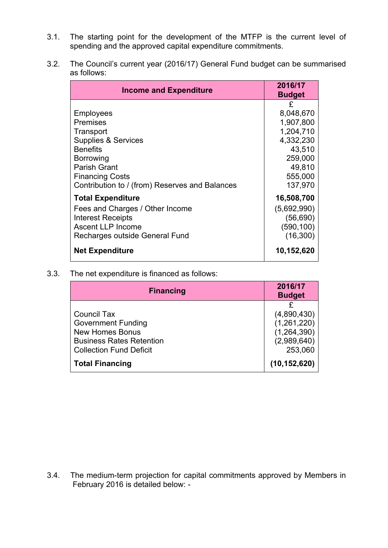- 3.1. The starting point for the development of the MTFP is the current level of spending and the approved capital expenditure commitments.
- 3.2. The Council's current year (2016/17) General Fund budget can be summarised as follows:

| <b>Income and Expenditure</b>                                                                                                                                     | 2016/17<br><b>Budget</b>                                          |
|-------------------------------------------------------------------------------------------------------------------------------------------------------------------|-------------------------------------------------------------------|
| Employees<br>Premises<br>Transport                                                                                                                                | £<br>8,048,670<br>1,907,800<br>1,204,710                          |
| <b>Supplies &amp; Services</b><br><b>Benefits</b><br>Borrowing<br><b>Parish Grant</b><br><b>Financing Costs</b><br>Contribution to / (from) Reserves and Balances | 4,332,230<br>43,510<br>259,000<br>49,810<br>555,000<br>137,970    |
| <b>Total Expenditure</b><br>Fees and Charges / Other Income<br><b>Interest Receipts</b><br>Ascent LLP Income<br>Recharges outside General Fund                    | 16,508,700<br>(5,692,990)<br>(56, 690)<br>(590, 100)<br>(16, 300) |
| <b>Net Expenditure</b>                                                                                                                                            | 10,152,620                                                        |

## 3.3. The net expenditure is financed as follows:

| <b>Financing</b>                | 2016/17<br><b>Budget</b> |
|---------------------------------|--------------------------|
|                                 |                          |
| <b>Council Tax</b>              | (4,890,430)              |
| <b>Government Funding</b>       | (1,261,220)              |
| <b>New Homes Bonus</b>          | (1,264,390)              |
| <b>Business Rates Retention</b> | (2,989,640)              |
| <b>Collection Fund Deficit</b>  | 253,060                  |
| <b>Total Financing</b>          | (10, 152, 620)           |

3.4. The medium-term projection for capital commitments approved by Members in February 2016 is detailed below: -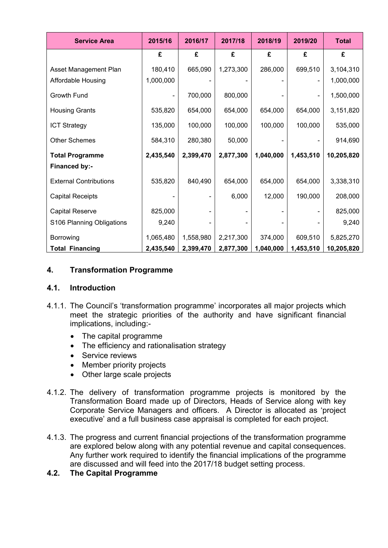| <b>Service Area</b>           | 2015/16   | 2016/17   | 2017/18   | 2018/19   | 2019/20   | <b>Total</b> |
|-------------------------------|-----------|-----------|-----------|-----------|-----------|--------------|
|                               | £         | £         | £         | £         | £         | £            |
| Asset Management Plan         | 180,410   | 665,090   | 1,273,300 | 286,000   | 699,510   | 3,104,310    |
| Affordable Housing            | 1,000,000 |           |           |           |           | 1,000,000    |
| Growth Fund                   |           | 700,000   | 800,000   |           |           | 1,500,000    |
| <b>Housing Grants</b>         | 535,820   | 654,000   | 654,000   | 654,000   | 654,000   | 3,151,820    |
| <b>ICT Strategy</b>           | 135,000   | 100,000   | 100,000   | 100,000   | 100,000   | 535,000      |
| <b>Other Schemes</b>          | 584,310   | 280,380   | 50,000    |           |           | 914,690      |
| <b>Total Programme</b>        | 2,435,540 | 2,399,470 | 2,877,300 | 1,040,000 | 1,453,510 | 10,205,820   |
| Financed by:-                 |           |           |           |           |           |              |
| <b>External Contributions</b> | 535,820   | 840,490   | 654,000   | 654,000   | 654,000   | 3,338,310    |
| <b>Capital Receipts</b>       |           |           | 6,000     | 12,000    | 190,000   | 208,000      |
| <b>Capital Reserve</b>        | 825,000   |           |           |           |           | 825,000      |
| S106 Planning Obligations     | 9,240     |           |           |           |           | 9,240        |
| Borrowing                     | 1,065,480 | 1,558,980 | 2,217,300 | 374,000   | 609,510   | 5,825,270    |
| <b>Total Financing</b>        | 2,435,540 | 2,399,470 | 2,877,300 | 1,040,000 | 1,453,510 | 10,205,820   |

## **4. Transformation Programme**

#### **4.1. Introduction**

- 4.1.1. The Council's 'transformation programme' incorporates all major projects which meet the strategic priorities of the authority and have significant financial implications, including:-
	- The capital programme
	- The efficiency and rationalisation strategy
	- Service reviews
	- Member priority projects
	- Other large scale projects
- 4.1.2. The delivery of transformation programme projects is monitored by the Transformation Board made up of Directors, Heads of Service along with key Corporate Service Managers and officers. A Director is allocated as 'project executive' and a full business case appraisal is completed for each project.
- 4.1.3. The progress and current financial projections of the transformation programme are explored below along with any potential revenue and capital consequences. Any further work required to identify the financial implications of the programme are discussed and will feed into the 2017/18 budget setting process.

#### **4.2. The Capital Programme**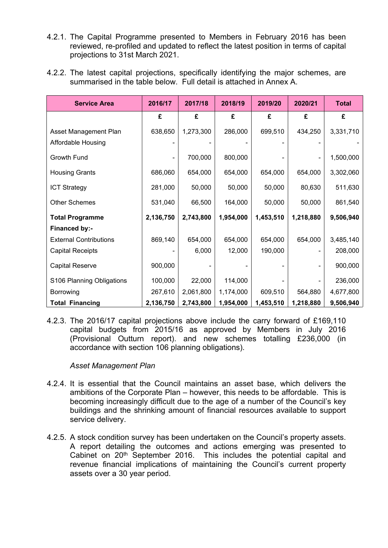- 4.2.1. The Capital Programme presented to Members in February 2016 has been reviewed, re-profiled and updated to reflect the latest position in terms of capital projections to 31st March 2021.
- 4.2.2. The latest capital projections, specifically identifying the major schemes, are summarised in the table below. Full detail is attached in Annex A.

| <b>Service Area</b>           | 2016/17   | 2017/18   | 2018/19   | 2019/20   | 2020/21   | <b>Total</b> |
|-------------------------------|-----------|-----------|-----------|-----------|-----------|--------------|
|                               | £         | £         | £         | £         | £         | £            |
| Asset Management Plan         | 638,650   | 1,273,300 | 286,000   | 699,510   | 434,250   | 3,331,710    |
| Affordable Housing            |           |           |           |           |           |              |
| Growth Fund                   |           | 700,000   | 800,000   |           |           | 1,500,000    |
| <b>Housing Grants</b>         | 686,060   | 654,000   | 654,000   | 654,000   | 654,000   | 3,302,060    |
| <b>ICT Strategy</b>           | 281,000   | 50,000    | 50,000    | 50,000    | 80,630    | 511,630      |
| <b>Other Schemes</b>          | 531,040   | 66,500    | 164,000   | 50,000    | 50,000    | 861,540      |
| <b>Total Programme</b>        | 2,136,750 | 2,743,800 | 1,954,000 | 1,453,510 | 1,218,880 | 9,506,940    |
| Financed by:-                 |           |           |           |           |           |              |
| <b>External Contributions</b> | 869,140   | 654,000   | 654,000   | 654,000   | 654,000   | 3,485,140    |
| <b>Capital Receipts</b>       |           | 6,000     | 12,000    | 190,000   |           | 208,000      |
| <b>Capital Reserve</b>        | 900,000   |           |           |           |           | 900,000      |
| S106 Planning Obligations     | 100,000   | 22,000    | 114,000   |           |           | 236,000      |
| Borrowing                     | 267,610   | 2,061,800 | 1,174,000 | 609,510   | 564,880   | 4,677,800    |
| <b>Total Financing</b>        | 2,136,750 | 2,743,800 | 1,954,000 | 1,453,510 | 1,218,880 | 9,506,940    |

4.2.3. The 2016/17 capital projections above include the carry forward of £169,110 capital budgets from 2015/16 as approved by Members in July 2016 (Provisional Outturn report). and new schemes totalling £236,000 (in accordance with section 106 planning obligations).

#### *Asset Management Plan*

- 4.2.4. It is essential that the Council maintains an asset base, which delivers the ambitions of the Corporate Plan – however, this needs to be affordable. This is becoming increasingly difficult due to the age of a number of the Council's key buildings and the shrinking amount of financial resources available to support service delivery.
- 4.2.5. A stock condition survey has been undertaken on the Council's property assets. A report detailing the outcomes and actions emerging was presented to Cabinet on 20<sup>th</sup> September 2016. This includes the potential capital and revenue financial implications of maintaining the Council's current property assets over a 30 year period.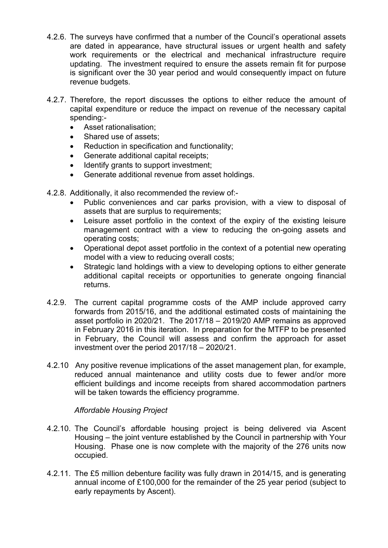- 4.2.6. The surveys have confirmed that a number of the Council's operational assets are dated in appearance, have structural issues or urgent health and safety work requirements or the electrical and mechanical infrastructure require updating. The investment required to ensure the assets remain fit for purpose is significant over the 30 year period and would consequently impact on future revenue budgets.
- 4.2.7. Therefore, the report discusses the options to either reduce the amount of capital expenditure or reduce the impact on revenue of the necessary capital spending:-
	- Asset rationalisation;
	- Shared use of assets:
	- Reduction in specification and functionality;
	- Generate additional capital receipts;
	- Identify grants to support investment;
	- Generate additional revenue from asset holdings.
- 4.2.8. Additionally, it also recommended the review of:-
	- Public conveniences and car parks provision, with a view to disposal of assets that are surplus to requirements;
	- Leisure asset portfolio in the context of the expiry of the existing leisure management contract with a view to reducing the on-going assets and operating costs;
	- Operational depot asset portfolio in the context of a potential new operating model with a view to reducing overall costs;
	- Strategic land holdings with a view to developing options to either generate additional capital receipts or opportunities to generate ongoing financial returns.
- 4.2.9. The current capital programme costs of the AMP include approved carry forwards from 2015/16, and the additional estimated costs of maintaining the asset portfolio in 2020/21. The 2017/18 – 2019/20 AMP remains as approved in February 2016 in this iteration. In preparation for the MTFP to be presented in February, the Council will assess and confirm the approach for asset investment over the period 2017/18 – 2020/21.
- 4.2.10 Any positive revenue implications of the asset management plan, for example, reduced annual maintenance and utility costs due to fewer and/or more efficient buildings and income receipts from shared accommodation partners will be taken towards the efficiency programme.

#### *Affordable Housing Project*

- 4.2.10. The Council's affordable housing project is being delivered via Ascent Housing – the joint venture established by the Council in partnership with Your Housing. Phase one is now complete with the majority of the 276 units now occupied.
- 4.2.11. The £5 million debenture facility was fully drawn in 2014/15, and is generating annual income of £100,000 for the remainder of the 25 year period (subject to early repayments by Ascent).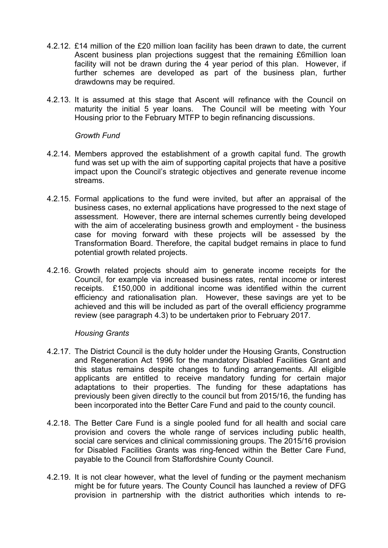- 4.2.12. £14 million of the £20 million loan facility has been drawn to date, the current Ascent business plan projections suggest that the remaining £6million loan facility will not be drawn during the 4 year period of this plan. However, if further schemes are developed as part of the business plan, further drawdowns may be required.
- 4.2.13. It is assumed at this stage that Ascent will refinance with the Council on maturity the initial 5 year loans. The Council will be meeting with Your Housing prior to the February MTFP to begin refinancing discussions.

#### *Growth Fund*

- 4.2.14. Members approved the establishment of a growth capital fund. The growth fund was set up with the aim of supporting capital projects that have a positive impact upon the Council's strategic objectives and generate revenue income streams.
- 4.2.15. Formal applications to the fund were invited, but after an appraisal of the business cases, no external applications have progressed to the next stage of assessment. However, there are internal schemes currently being developed with the aim of accelerating business growth and employment - the business case for moving forward with these projects will be assessed by the Transformation Board. Therefore, the capital budget remains in place to fund potential growth related projects.
- 4.2.16. Growth related projects should aim to generate income receipts for the Council, for example via increased business rates, rental income or interest receipts. £150,000 in additional income was identified within the current efficiency and rationalisation plan. However, these savings are yet to be achieved and this will be included as part of the overall efficiency programme review (see paragraph 4.3) to be undertaken prior to February 2017.

#### *Housing Grants*

- 4.2.17. The District Council is the duty holder under the Housing Grants, Construction and Regeneration Act 1996 for the mandatory Disabled Facilities Grant and this status remains despite changes to funding arrangements. All eligible applicants are entitled to receive mandatory funding for certain major adaptations to their properties. The funding for these adaptations has previously been given directly to the council but from 2015/16, the funding has been incorporated into the Better Care Fund and paid to the county council.
- 4.2.18. The Better Care Fund is a single pooled fund for all health and social care provision and covers the whole range of services including public health, social care services and clinical commissioning groups. The 2015/16 provision for Disabled Facilities Grants was ring-fenced within the Better Care Fund, payable to the Council from Staffordshire County Council.
- 4.2.19. It is not clear however, what the level of funding or the payment mechanism might be for future years. The County Council has launched a review of DFG provision in partnership with the district authorities which intends to re-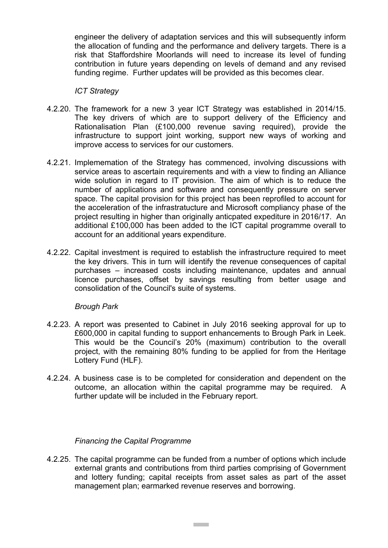engineer the delivery of adaptation services and this will subsequently inform the allocation of funding and the performance and delivery targets. There is a risk that Staffordshire Moorlands will need to increase its level of funding contribution in future years depending on levels of demand and any revised funding regime. Further updates will be provided as this becomes clear.

#### *ICT Strategy*

- 4.2.20. The framework for a new 3 year ICT Strategy was established in 2014/15. The key drivers of which are to support delivery of the Efficiency and Rationalisation Plan (£100,000 revenue saving required), provide the infrastructure to support joint working, support new ways of working and improve access to services for our customers.
- 4.2.21. Implememation of the Strategy has commenced, involving discussions with service areas to ascertain requirements and with a view to finding an Alliance wide solution in regard to IT provision. The aim of which is to reduce the number of applications and software and consequently pressure on server space. The capital provision for this project has been reprofiled to account for the acceleration of the infrastratucture and Microsoft compliancy phase of the project resulting in higher than originally anticpated expediture in 2016/17. An additional £100,000 has been added to the ICT capital programme overall to account for an additional years expenditure.
- 4.2.22. Capital investment is required to establish the infrastructure required to meet the key drivers. This in turn will identify the revenue consequences of capital purchases – increased costs including maintenance, updates and annual licence purchases, offset by savings resulting from better usage and consolidation of the Council's suite of systems.

#### *Brough Park*

- 4.2.23. A report was presented to Cabinet in July 2016 seeking approval for up to £600,000 in capital funding to support enhancements to Brough Park in Leek. This would be the Council's 20% (maximum) contribution to the overall project, with the remaining 80% funding to be applied for from the Heritage Lottery Fund (HLF).
- 4.2.24. A business case is to be completed for consideration and dependent on the outcome, an allocation within the capital programme may be required. A further update will be included in the February report.

#### *Financing the Capital Programme*

4.2.25. The capital programme can be funded from a number of options which include external grants and contributions from third parties comprising of Government and lottery funding; capital receipts from asset sales as part of the asset management plan; earmarked revenue reserves and borrowing.

**Contract**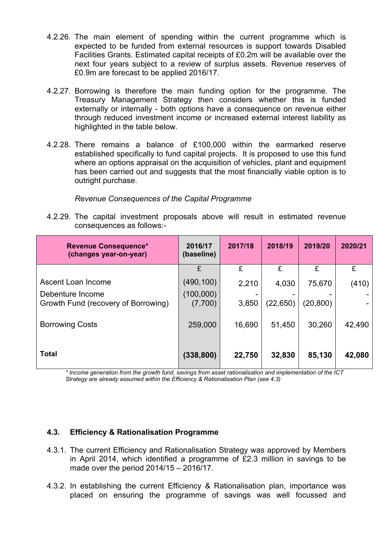- 4.2.26. The main element of spending within the current programme which is expected to be funded from external resources is support towards Disabled Facilities Grants. Estimated capital receipts of £0.2m will be available over the next four years subject to a review of surplus assets. Revenue reserves of £0.9m are forecast to be applied 2016/17.
- 4.2.27. Borrowing is therefore the main funding option for the programme. The Treasury Management Strategy then considers whether this is funded externally or internally - both options have a consequence on revenue either through reduced investment income or increased external interest liability as highlighted in the table below.
- 4.2.28. There remains a balance of £100,000 within the earmarked reserve established specifically to fund capital projects. It is proposed to use this fund where an options appraisal on the acquisition of vehicles, plant and equipment has been carried out and suggests that the most financially viable option is to outright purchase.

#### *Revenue Consequences of the Capital Programme*

4.2.29. The capital investment proposals above will result in estimated revenue consequences as follows:-

| <b>Revenue Consequence*</b><br>(changes year-on-year)   | 2016/17<br>(baseline) | 2017/18 | 2018/19   | 2019/20  | 2020/21 |
|---------------------------------------------------------|-----------------------|---------|-----------|----------|---------|
|                                                         | £                     | £       | £         | £        | £       |
| Ascent Loan Income                                      | (490, 100)            | 2,210   | 4,030     | 75,670   | (410)   |
| Debenture Income<br>Growth Fund (recovery of Borrowing) | (100,000)<br>(7,700)  | 3,850   | (22, 650) | (20,800) |         |
| <b>Borrowing Costs</b>                                  | 259,000               | 16,690  | 51,450    | 30,260   | 42,490  |
| <b>Total</b>                                            | (338, 800)            | 22,750  | 32,830    | 85,130   | 42,080  |

*\* Income generation from the growth fund, savings from asset rationalisation and implementation of the ICT Strategy are already assumed within the Efficiency & Rationalisation Plan (see 4.3)*

#### **4.3. Efficiency & Rationalisation Programme**

- 4.3.1. The current Efficiency and Rationalisation Strategy was approved by Members in April 2014, which identified a programme of £2.3 million in savings to be made over the period 2014/15 – 2016/17.
- 4.3.2. In establishing the current Efficiency & Rationalisation plan, importance was placed on ensuring the programme of savings was well focussed and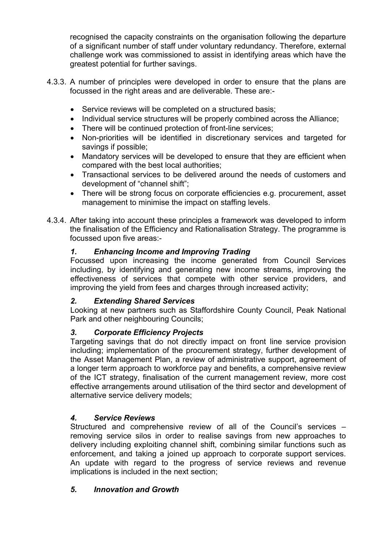recognised the capacity constraints on the organisation following the departure of a significant number of staff under voluntary redundancy. Therefore, external challenge work was commissioned to assist in identifying areas which have the greatest potential for further savings.

- 4.3.3. A number of principles were developed in order to ensure that the plans are focussed in the right areas and are deliverable. These are:-
	- Service reviews will be completed on a structured basis;
	- Individual service structures will be properly combined across the Alliance;
	- There will be continued protection of front-line services;
	- Non-priorities will be identified in discretionary services and targeted for savings if possible;
	- Mandatory services will be developed to ensure that they are efficient when compared with the best local authorities;
	- Transactional services to be delivered around the needs of customers and development of "channel shift";
	- There will be strong focus on corporate efficiencies e.g. procurement, asset management to minimise the impact on staffing levels.
- 4.3.4. After taking into account these principles a framework was developed to inform the finalisation of the Efficiency and Rationalisation Strategy. The programme is focussed upon five areas:-

# *1. Enhancing Income and Improving Trading*

Focussed upon increasing the income generated from Council Services including, by identifying and generating new income streams, improving the effectiveness of services that compete with other service providers, and improving the yield from fees and charges through increased activity;

# *2. Extending Shared Services*

Looking at new partners such as Staffordshire County Council, Peak National Park and other neighbouring Councils;

# *3. Corporate Efficiency Projects*

Targeting savings that do not directly impact on front line service provision including; implementation of the procurement strategy, further development of the Asset Management Plan, a review of administrative support, agreement of a longer term approach to workforce pay and benefits, a comprehensive review of the ICT strategy, finalisation of the current management review, more cost effective arrangements around utilisation of the third sector and development of alternative service delivery models;

# *4. Service Reviews*

Structured and comprehensive review of all of the Council's services – removing service silos in order to realise savings from new approaches to delivery including exploiting channel shift, combining similar functions such as enforcement, and taking a joined up approach to corporate support services. An update with regard to the progress of service reviews and revenue implications is included in the next section;

# *5. Innovation and Growth*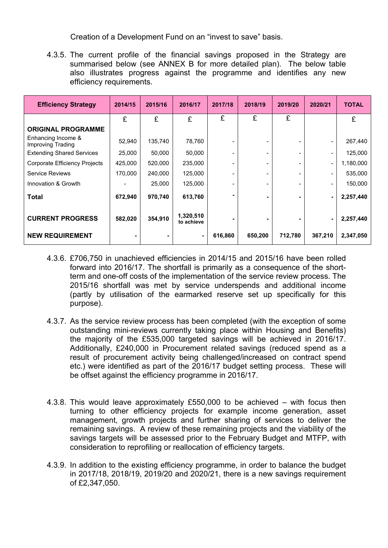Creation of a Development Fund on an "invest to save" basis.

4.3.5. The current profile of the financial savings proposed in the Strategy are summarised below (see ANNEX B for more detailed plan). The below table also illustrates progress against the programme and identifies any new efficiency requirements.

| <b>Efficiency Strategy</b>              | 2014/15 | 2015/16 | 2016/17                 | 2017/18 | 2018/19 | 2019/20 | 2020/21                  | <b>TOTAL</b> |
|-----------------------------------------|---------|---------|-------------------------|---------|---------|---------|--------------------------|--------------|
|                                         | £       | £       | £                       | £       | £       | £       |                          | £            |
| <b>ORIGINAL PROGRAMME</b>               |         |         |                         |         |         |         |                          |              |
| Enhancing Income &<br>Improving Trading | 52,940  | 135,740 | 78,760                  |         |         |         | $\overline{\phantom{a}}$ | 267,440      |
| <b>Extending Shared Services</b>        | 25,000  | 50,000  | 50,000                  | -       |         |         | $\overline{\phantom{a}}$ | 125,000      |
| Corporate Efficiency Projects           | 425,000 | 520,000 | 235,000                 | ۰       |         |         | $\overline{\phantom{a}}$ | 1,180,000    |
| <b>Service Reviews</b>                  | 170,000 | 240,000 | 125,000                 |         |         |         | $\overline{\phantom{a}}$ | 535,000      |
| Innovation & Growth                     |         | 25,000  | 125,000                 |         |         |         | $\blacksquare$           | 150,000      |
| Total                                   | 672,940 | 970,740 | 613,760                 |         |         |         | ۰                        | 2,257,440    |
| <b>CURRENT PROGRESS</b>                 | 582,020 | 354,910 | 1,320,510<br>to achieve |         |         |         | ٠                        | 2,257,440    |
| <b>NEW REQUIREMENT</b>                  |         |         |                         | 616,860 | 650,200 | 712,780 | 367,210                  | 2,347,050    |

- 4.3.6. £706,750 in unachieved efficiencies in 2014/15 and 2015/16 have been rolled forward into 2016/17. The shortfall is primarily as a consequence of the shortterm and one-off costs of the implementation of the service review process. The 2015/16 shortfall was met by service underspends and additional income (partly by utilisation of the earmarked reserve set up specifically for this purpose).
- 4.3.7. As the service review process has been completed (with the exception of some outstanding mini-reviews currently taking place within Housing and Benefits) the majority of the £535,000 targeted savings will be achieved in 2016/17. Additionally, £240,000 in Procurement related savings (reduced spend as a result of procurement activity being challenged/increased on contract spend etc.) were identified as part of the 2016/17 budget setting process. These will be offset against the efficiency programme in 2016/17.
- 4.3.8. This would leave approximately £550,000 to be achieved with focus then turning to other efficiency projects for example income generation, asset management, growth projects and further sharing of services to deliver the remaining savings. A review of these remaining projects and the viability of the savings targets will be assessed prior to the February Budget and MTFP, with consideration to reprofiling or reallocation of efficiency targets.
- 4.3.9. In addition to the existing efficiency programme, in order to balance the budget in 2017/18, 2018/19, 2019/20 and 2020/21, there is a new savings requirement of £2,347,050.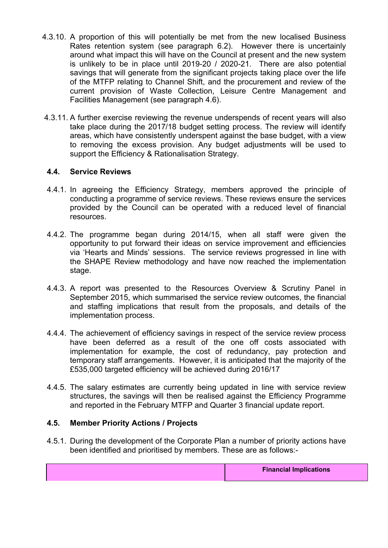- 4.3.10. A proportion of this will potentially be met from the new localised Business Rates retention system (see paragraph 6.2). However there is uncertainly around what impact this will have on the Council at present and the new system is unlikely to be in place until 2019-20 / 2020-21. There are also potential savings that will generate from the significant projects taking place over the life of the MTFP relating to Channel Shift, and the procurement and review of the current provision of Waste Collection, Leisure Centre Management and Facilities Management (see paragraph 4.6).
- 4.3.11. A further exercise reviewing the revenue underspends of recent years will also take place during the 2017/18 budget setting process. The review will identify areas, which have consistently underspent against the base budget, with a view to removing the excess provision. Any budget adjustments will be used to support the Efficiency & Rationalisation Strategy.

## **4.4. Service Reviews**

- 4.4.1. In agreeing the Efficiency Strategy, members approved the principle of conducting a programme of service reviews. These reviews ensure the services provided by the Council can be operated with a reduced level of financial resources.
- 4.4.2. The programme began during 2014/15, when all staff were given the opportunity to put forward their ideas on service improvement and efficiencies via 'Hearts and Minds' sessions. The service reviews progressed in line with the SHAPE Review methodology and have now reached the implementation stage.
- 4.4.3. A report was presented to the Resources Overview & Scrutiny Panel in September 2015, which summarised the service review outcomes, the financial and staffing implications that result from the proposals, and details of the implementation process.
- 4.4.4. The achievement of efficiency savings in respect of the service review process have been deferred as a result of the one off costs associated with implementation for example, the cost of redundancy, pay protection and temporary staff arrangements. However, it is anticipated that the majority of the £535,000 targeted efficiency will be achieved during 2016/17
- 4.4.5. The salary estimates are currently being updated in line with service review structures, the savings will then be realised against the Efficiency Programme and reported in the February MTFP and Quarter 3 financial update report.

#### **4.5. Member Priority Actions / Projects**

4.5.1. During the development of the Corporate Plan a number of priority actions have been identified and prioritised by members. These are as follows:-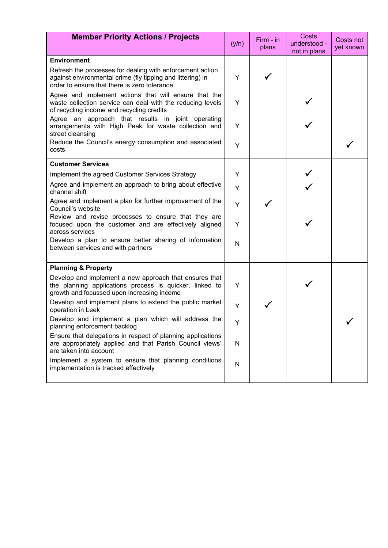| <b>Member Priority Actions / Projects</b>                                                                                                                               |   | Firm - in<br>plans | Costs<br>understood - | Costs not<br>yet known |
|-------------------------------------------------------------------------------------------------------------------------------------------------------------------------|---|--------------------|-----------------------|------------------------|
|                                                                                                                                                                         |   |                    | not in plans          |                        |
| <b>Environment</b>                                                                                                                                                      |   |                    |                       |                        |
| Refresh the processes for dealing with enforcement action<br>against environmental crime (fly tipping and littering) in<br>order to ensure that there is zero tolerance | Y |                    |                       |                        |
| Agree and implement actions that will ensure that the<br>waste collection service can deal with the reducing levels<br>of recycling income and recycling credits        | Y |                    |                       |                        |
| Agree an approach that results in joint operating<br>arrangements with High Peak for waste collection and<br>street cleansing                                           | Y |                    |                       |                        |
| Reduce the Council's energy consumption and associated<br>costs                                                                                                         | Y |                    |                       |                        |
| <b>Customer Services</b>                                                                                                                                                |   |                    |                       |                        |
| Implement the agreed Customer Services Strategy                                                                                                                         | Y |                    |                       |                        |
| Agree and implement an approach to bring about effective<br>channel shift                                                                                               | Y |                    |                       |                        |
| Agree and implement a plan for further improvement of the<br>Council's website                                                                                          | Y |                    |                       |                        |
| Review and revise processes to ensure that they are<br>focused upon the customer and are effectively aligned<br>across services                                         | Y |                    |                       |                        |
| Develop a plan to ensure better sharing of information<br>between services and with partners                                                                            | N |                    |                       |                        |
| <b>Planning &amp; Property</b>                                                                                                                                          |   |                    |                       |                        |
| Develop and implement a new approach that ensures that<br>the planning applications process is quicker, linked to<br>growth and focussed upon increasing income         | Y |                    |                       |                        |
| Develop and implement plans to extend the public market<br>operation in Leek                                                                                            | Y |                    |                       |                        |
| Develop and implement a plan which will address the<br>planning enforcement backlog                                                                                     | Y |                    |                       |                        |
| Ensure that delegations in respect of planning applications<br>are appropriately applied and that Parish Council views'<br>are taken into account                       | N |                    |                       |                        |
| Implement a system to ensure that planning conditions<br>implementation is tracked effectively                                                                          | N |                    |                       |                        |
|                                                                                                                                                                         |   |                    |                       |                        |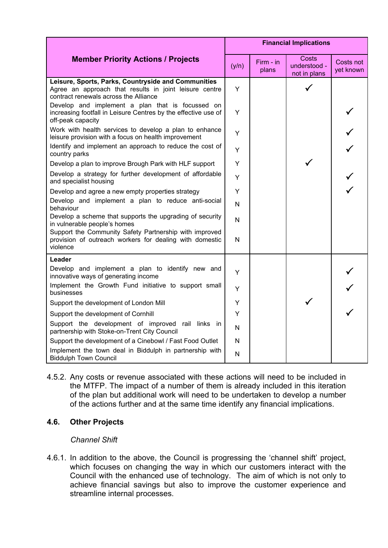|                                                                                                                                                        |       | <b>Financial Implications</b> |                                       |                        |  |  |  |
|--------------------------------------------------------------------------------------------------------------------------------------------------------|-------|-------------------------------|---------------------------------------|------------------------|--|--|--|
| <b>Member Priority Actions / Projects</b>                                                                                                              | (y/n) | $Firm - in$<br>plans          | Costs<br>understood -<br>not in plans | Costs not<br>yet known |  |  |  |
| Leisure, Sports, Parks, Countryside and Communities<br>Agree an approach that results in joint leisure centre<br>contract renewals across the Alliance | Y     |                               |                                       |                        |  |  |  |
| Develop and implement a plan that is focussed on<br>increasing footfall in Leisure Centres by the effective use of<br>off-peak capacity                | Y     |                               |                                       |                        |  |  |  |
| Work with health services to develop a plan to enhance<br>leisure provision with a focus on health improvement                                         | Y     |                               |                                       |                        |  |  |  |
| Identify and implement an approach to reduce the cost of<br>country parks                                                                              | Y     |                               |                                       |                        |  |  |  |
| Develop a plan to improve Brough Park with HLF support                                                                                                 | Y     |                               |                                       |                        |  |  |  |
| Develop a strategy for further development of affordable<br>and specialist housing                                                                     | Υ     |                               |                                       |                        |  |  |  |
| Develop and agree a new empty properties strategy                                                                                                      | Y     |                               |                                       |                        |  |  |  |
| Develop and implement a plan to reduce anti-social<br>behaviour                                                                                        | N     |                               |                                       |                        |  |  |  |
| Develop a scheme that supports the upgrading of security<br>in vulnerable people's homes                                                               | N     |                               |                                       |                        |  |  |  |
| Support the Community Safety Partnership with improved<br>provision of outreach workers for dealing with domestic<br>violence                          | N     |                               |                                       |                        |  |  |  |
| Leader                                                                                                                                                 |       |                               |                                       |                        |  |  |  |
| Develop and implement a plan to identify new and<br>innovative ways of generating income                                                               | Y     |                               |                                       |                        |  |  |  |
| Implement the Growth Fund initiative to support small<br>businesses                                                                                    | Y     |                               |                                       |                        |  |  |  |
| Support the development of London Mill                                                                                                                 | Y     |                               |                                       |                        |  |  |  |
| Support the development of Cornhill                                                                                                                    | Y     |                               |                                       |                        |  |  |  |
| Support the development of improved rail links in<br>partnership with Stoke-on-Trent City Council                                                      | N     |                               |                                       |                        |  |  |  |
| Support the development of a Cinebowl / Fast Food Outlet                                                                                               | N     |                               |                                       |                        |  |  |  |
| Implement the town deal in Biddulph in partnership with<br><b>Biddulph Town Council</b>                                                                | N     |                               |                                       |                        |  |  |  |

4.5.2. Any costs or revenue associated with these actions will need to be included in the MTFP. The impact of a number of them is already included in this iteration of the plan but additional work will need to be undertaken to develop a number of the actions further and at the same time identify any financial implications.

# **4.6. Other Projects**

#### *Channel Shift*

4.6.1. In addition to the above, the Council is progressing the 'channel shift' project, which focuses on changing the way in which our customers interact with the Council with the enhanced use of technology. The aim of which is not only to achieve financial savings but also to improve the customer experience and streamline internal processes.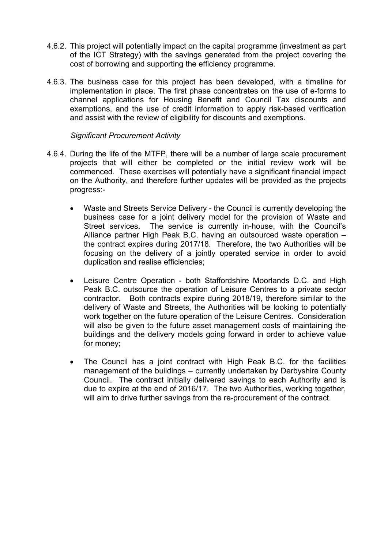- 4.6.2. This project will potentially impact on the capital programme (investment as part of the ICT Strategy) with the savings generated from the project covering the cost of borrowing and supporting the efficiency programme.
- 4.6.3. The business case for this project has been developed, with a timeline for implementation in place. The first phase concentrates on the use of e-forms to channel applications for Housing Benefit and Council Tax discounts and exemptions, and the use of credit information to apply risk-based verification and assist with the review of eligibility for discounts and exemptions.

#### *Significant Procurement Activity*

- 4.6.4. During the life of the MTFP, there will be a number of large scale procurement projects that will either be completed or the initial review work will be commenced. These exercises will potentially have a significant financial impact on the Authority, and therefore further updates will be provided as the projects progress:-
	- Waste and Streets Service Delivery the Council is currently developing the business case for a joint delivery model for the provision of Waste and Street services. The service is currently in-house, with the Council's Alliance partner High Peak B.C. having an outsourced waste operation – the contract expires during 2017/18. Therefore, the two Authorities will be focusing on the delivery of a jointly operated service in order to avoid duplication and realise efficiencies;
	- Leisure Centre Operation both Staffordshire Moorlands D.C. and High Peak B.C. outsource the operation of Leisure Centres to a private sector contractor. Both contracts expire during 2018/19, therefore similar to the delivery of Waste and Streets, the Authorities will be looking to potentially work together on the future operation of the Leisure Centres. Consideration will also be given to the future asset management costs of maintaining the buildings and the delivery models going forward in order to achieve value for money;
	- The Council has a joint contract with High Peak B.C. for the facilities management of the buildings – currently undertaken by Derbyshire County Council. The contract initially delivered savings to each Authority and is due to expire at the end of 2016/17. The two Authorities, working together, will aim to drive further savings from the re-procurement of the contract.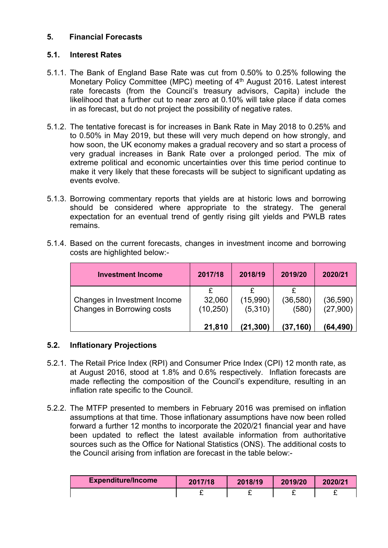# **5. Financial Forecasts**

# **5.1. Interest Rates**

- 5.1.1. The Bank of England Base Rate was cut from 0.50% to 0.25% following the Monetary Policy Committee (MPC) meeting of 4<sup>th</sup> August 2016. Latest interest rate forecasts (from the Council's treasury advisors, Capita) include the likelihood that a further cut to near zero at 0.10% will take place if data comes in as forecast, but do not project the possibility of negative rates.
- 5.1.2. The tentative forecast is for increases in Bank Rate in May 2018 to 0.25% and to 0.50% in May 2019, but these will very much depend on how strongly, and how soon, the UK economy makes a gradual recovery and so start a process of very gradual increases in Bank Rate over a prolonged period. The mix of extreme political and economic uncertainties over this time period continue to make it very likely that these forecasts will be subject to significant updating as events evolve.
- 5.1.3. Borrowing commentary reports that yields are at historic lows and borrowing should be considered where appropriate to the strategy. The general expectation for an eventual trend of gently rising gilt yields and PWLB rates remains.

| <b>Investment Income</b>                                   | 2017/18             | 2018/19             | 2019/20            | 2020/21               |
|------------------------------------------------------------|---------------------|---------------------|--------------------|-----------------------|
| Changes in Investment Income<br>Changes in Borrowing costs | 32,060<br>(10, 250) | (15,990)<br>(5,310) | (36, 580)<br>(580) | (36, 590)<br>(27,900) |
|                                                            | 21,810              | (21,300)            | (37, 160)          | (64,490)              |

5.1.4. Based on the current forecasts, changes in investment income and borrowing costs are highlighted below:-

# **5.2. Inflationary Projections**

- 5.2.1. The Retail Price Index (RPI) and Consumer Price Index (CPI) 12 month rate, as at August 2016, stood at 1.8% and 0.6% respectively. Inflation forecasts are made reflecting the composition of the Council's expenditure, resulting in an inflation rate specific to the Council.
- 5.2.2. The MTFP presented to members in February 2016 was premised on inflation assumptions at that time. Those inflationary assumptions have now been rolled forward a further 12 months to incorporate the 2020/21 financial year and have been updated to reflect the latest available information from authoritative sources such as the Office for National Statistics (ONS). The additional costs to the Council arising from inflation are forecast in the table below:-

| <b>Expenditure/Income</b> | 2017/18 | 2018/19 | 2019/20 | 2020/21 |
|---------------------------|---------|---------|---------|---------|
|                           | -       |         |         |         |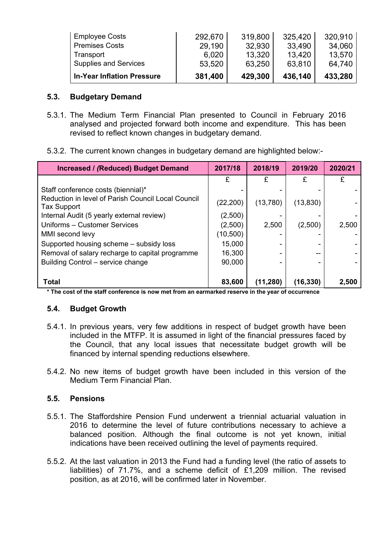| <b>In-Year Inflation Pressure</b> | 381,400 | 429,300 | 436,140 | 433,280 |
|-----------------------------------|---------|---------|---------|---------|
| Supplies and Services             | 53,520  | 63,250  | 63,810  | 64.740  |
| Transport                         | 6,020   | 13,320  | 13,420  | 13,570  |
| <b>Premises Costs</b>             | 29,190  | 32,930  | 33.490  | 34,060  |
| <b>Employee Costs</b>             | 292,670 | 319,800 | 325,420 | 320,910 |

## **5.3. Budgetary Demand**

- 5.3.1. The Medium Term Financial Plan presented to Council in February 2016 analysed and projected forward both income and expenditure. This has been revised to reflect known changes in budgetary demand.
- 5.3.2. The current known changes in budgetary demand are highlighted below:-

| Increased / (Reduced) Budget Demand                                      | 2017/18   | 2018/19   | 2019/20   | 2020/21 |
|--------------------------------------------------------------------------|-----------|-----------|-----------|---------|
|                                                                          | £         | £         | £         | £       |
| Staff conference costs (biennial)*                                       |           |           |           |         |
| Reduction in level of Parish Council Local Council<br><b>Tax Support</b> | (22, 200) | (13,780)  | (13, 830) |         |
| Internal Audit (5 yearly external review)                                | (2,500)   |           |           |         |
| Uniforms - Customer Services                                             | (2,500)   | 2,500     | (2,500)   | 2,500   |
| MMI second levy                                                          | (10,500)  |           |           |         |
| Supported housing scheme - subsidy loss                                  | 15,000    | -         |           |         |
| Removal of salary recharge to capital programme                          | 16,300    |           |           |         |
| Building Control - service change                                        | 90,000    |           |           |         |
| <b>Total</b>                                                             | 83,600    | (11, 280) | (16,330)  | 2,500   |

\* The cost of the staff conference is now met from an earmarked reserve in the year of occurrence

#### **5.4. Budget Growth**

- 5.4.1. In previous years, very few additions in respect of budget growth have been included in the MTFP. It is assumed in light of the financial pressures faced by the Council, that any local issues that necessitate budget growth will be financed by internal spending reductions elsewhere.
- 5.4.2. No new items of budget growth have been included in this version of the Medium Term Financial Plan.

# **5.5. Pensions**

- 5.5.1. The Staffordshire Pension Fund underwent a triennial actuarial valuation in 2016 to determine the level of future contributions necessary to achieve a balanced position. Although the final outcome is not yet known, initial indications have been received outlining the level of payments required.
- 5.5.2. At the last valuation in 2013 the Fund had a funding level (the ratio of assets to liabilities) of 71.7%, and a scheme deficit of £1,209 million. The revised position, as at 2016, will be confirmed later in November.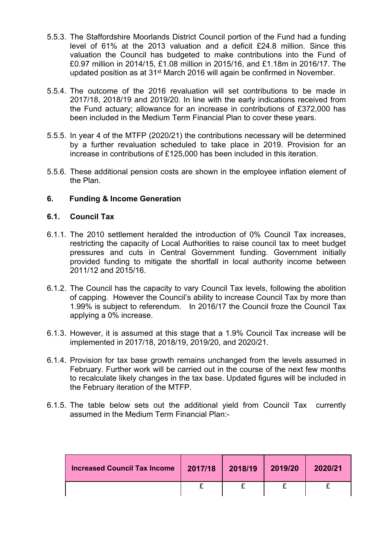- 5.5.3. The Staffordshire Moorlands District Council portion of the Fund had a funding level of 61% at the 2013 valuation and a deficit £24.8 million. Since this valuation the Council has budgeted to make contributions into the Fund of £0.97 million in 2014/15, £1.08 million in 2015/16, and £1.18m in 2016/17. The updated position as at 31<sup>st</sup> March 2016 will again be confirmed in November.
- 5.5.4. The outcome of the 2016 revaluation will set contributions to be made in 2017/18, 2018/19 and 2019/20. In line with the early indications received from the Fund actuary; allowance for an increase in contributions of £372,000 has been included in the Medium Term Financial Plan to cover these years.
- 5.5.5. In year 4 of the MTFP (2020/21) the contributions necessary will be determined by a further revaluation scheduled to take place in 2019. Provision for an increase in contributions of £125,000 has been included in this iteration.
- 5.5.6. These additional pension costs are shown in the employee inflation element of the Plan.

#### **6. Funding & Income Generation**

#### **6.1. Council Tax**

- 6.1.1. The 2010 settlement heralded the introduction of 0% Council Tax increases, restricting the capacity of Local Authorities to raise council tax to meet budget pressures and cuts in Central Government funding. Government initially provided funding to mitigate the shortfall in local authority income between 2011/12 and 2015/16.
- 6.1.2. The Council has the capacity to vary Council Tax levels, following the abolition of capping. However the Council's ability to increase Council Tax by more than 1.99% is subject to referendum. In 2016/17 the Council froze the Council Tax applying a 0% increase.
- 6.1.3. However, it is assumed at this stage that a 1.9% Council Tax increase will be implemented in 2017/18, 2018/19, 2019/20, and 2020/21.
- 6.1.4. Provision for tax base growth remains unchanged from the levels assumed in February. Further work will be carried out in the course of the next few months to recalculate likely changes in the tax base. Updated figures will be included in the February iteration of the MTFP.
- 6.1.5. The table below sets out the additional yield from Council Tax currently assumed in the Medium Term Financial Plan:-

| Increased Council Tax Income   2017/18   2018/19   2019/20 |  | 2020/21 |
|------------------------------------------------------------|--|---------|
|                                                            |  |         |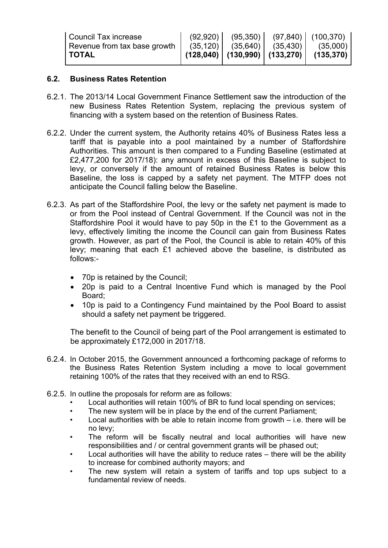| <b>Council Tax increase</b>  |  | $(92,920)$ $(95,350)$ $(97,840)$ $(100,370)$ |                                                                                 |
|------------------------------|--|----------------------------------------------|---------------------------------------------------------------------------------|
| Revenue from tax base growth |  | $(35, 120)$ $(35, 640)$ $(35, 430)$ $($      | (35,000)                                                                        |
| <b>TOTAL</b>                 |  |                                              | $\vert$ (128,040) $\vert$ (130,990) $\vert$ (133,270) $\vert$ (135,370) $\vert$ |

#### **6.2. Business Rates Retention**

- 6.2.1. The 2013/14 Local Government Finance Settlement saw the introduction of the new Business Rates Retention System, replacing the previous system of financing with a system based on the retention of Business Rates.
- 6.2.2. Under the current system, the Authority retains 40% of Business Rates less a tariff that is payable into a pool maintained by a number of Staffordshire Authorities. This amount is then compared to a Funding Baseline (estimated at £2,477,200 for 2017/18): any amount in excess of this Baseline is subject to levy, or conversely if the amount of retained Business Rates is below this Baseline, the loss is capped by a safety net payment. The MTFP does not anticipate the Council falling below the Baseline.
- 6.2.3. As part of the Staffordshire Pool, the levy or the safety net payment is made to or from the Pool instead of Central Government. If the Council was not in the Staffordshire Pool it would have to pay 50p in the £1 to the Government as a levy, effectively limiting the income the Council can gain from Business Rates growth. However, as part of the Pool, the Council is able to retain 40% of this levy; meaning that each £1 achieved above the baseline, is distributed as follows:-
	- 70p is retained by the Council;
	- 20p is paid to a Central Incentive Fund which is managed by the Pool Board;
	- 10p is paid to a Contingency Fund maintained by the Pool Board to assist should a safety net payment be triggered.

The benefit to the Council of being part of the Pool arrangement is estimated to be approximately £172,000 in 2017/18.

- 6.2.4. In October 2015, the Government announced a forthcoming package of reforms to the Business Rates Retention System including a move to local government retaining 100% of the rates that they received with an end to RSG.
- 6.2.5. In outline the proposals for reform are as follows:
	- Local authorities will retain 100% of BR to fund local spending on services;
	- The new system will be in place by the end of the current Parliament;
	- Local authorities with be able to retain income from growth  $-$  i.e. there will be no levy;
	- The reform will be fiscally neutral and local authorities will have new responsibilities and / or central government grants will be phased out;
	- Local authorities will have the ability to reduce rates  $-$  there will be the ability to increase for combined authority mayors; and
	- The new system will retain a system of tariffs and top ups subject to a fundamental review of needs.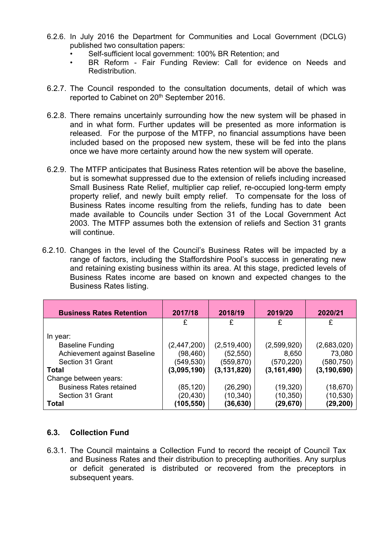- 6.2.6. In July 2016 the Department for Communities and Local Government (DCLG) published two consultation papers:
	- Self-sufficient local government: 100% BR Retention; and
	- BR Reform Fair Funding Review: Call for evidence on Needs and Redistribution.
- 6.2.7. The Council responded to the consultation documents, detail of which was reported to Cabinet on 20<sup>th</sup> September 2016.
- 6.2.8. There remains uncertainly surrounding how the new system will be phased in and in what form. Further updates will be presented as more information is released. For the purpose of the MTFP, no financial assumptions have been included based on the proposed new system, these will be fed into the plans once we have more certainty around how the new system will operate.
- 6.2.9. The MTFP anticipates that Business Rates retention will be above the baseline, but is somewhat suppressed due to the extension of reliefs including increased Small Business Rate Relief, multiplier cap relief, re-occupied long-term empty property relief, and newly built empty relief. To compensate for the loss of Business Rates income resulting from the reliefs, funding has to date been made available to Councils under Section 31 of the Local Government Act 2003. The MTFP assumes both the extension of reliefs and Section 31 grants will continue.
- 6.2.10. Changes in the level of the Council's Business Rates will be impacted by a range of factors, including the Staffordshire Pool's success in generating new and retaining existing business within its area. At this stage, predicted levels of Business Rates income are based on known and expected changes to the Business Rates listing.

| <b>Business Rates Retention</b> | 2017/18       | 2018/19       | 2019/20       | 2020/21       |
|---------------------------------|---------------|---------------|---------------|---------------|
|                                 | £             |               | £             | £             |
| In year:                        |               |               |               |               |
| <b>Baseline Funding</b>         | (2, 447, 200) | (2,519,400)   | (2,599,920)   | (2,683,020)   |
| Achievement against Baseline    | (98,460)      | (52, 550)     | 8,650         | 73,080        |
| Section 31 Grant                | (549,530)     | (559, 870)    | (570, 220)    | (580,750)     |
| Total                           | (3,095,190)   | (3, 131, 820) | (3, 161, 490) | (3, 190, 690) |
| Change between years:           |               |               |               |               |
| <b>Business Rates retained</b>  | (85,120)      | (26, 290)     | (19, 320)     | (18,670)      |
| Section 31 Grant                | (20, 430)     | (10, 340)     | (10,350)      | (10,530)      |
| <b>Total</b>                    | (105,550)     | (36,630)      | (29,670)      | (29,200)      |

# **6.3. Collection Fund**

6.3.1. The Council maintains a Collection Fund to record the receipt of Council Tax and Business Rates and their distribution to precepting authorities. Any surplus or deficit generated is distributed or recovered from the preceptors in subsequent years.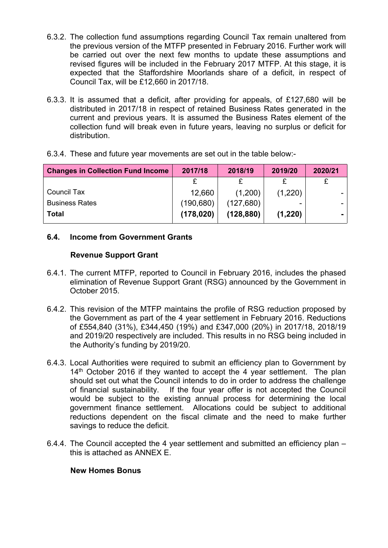- 6.3.2. The collection fund assumptions regarding Council Tax remain unaltered from the previous version of the MTFP presented in February 2016. Further work will be carried out over the next few months to update these assumptions and revised figures will be included in the February 2017 MTFP. At this stage, it is expected that the Staffordshire Moorlands share of a deficit, in respect of Council Tax, will be £12,660 in 2017/18.
- 6.3.3. It is assumed that a deficit, after providing for appeals, of £127,680 will be distributed in 2017/18 in respect of retained Business Rates generated in the current and previous years. It is assumed the Business Rates element of the collection fund will break even in future years, leaving no surplus or deficit for distribution.
- 6.3.4. These and future year movements are set out in the table below:-

| <b>Changes in Collection Fund Income</b> | 2017/18    | 2018/19    | 2019/20 | 2020/21 |
|------------------------------------------|------------|------------|---------|---------|
|                                          |            |            |         |         |
| Council Tax                              | 12,660     | (1,200)    | (1,220) |         |
| <b>Business Rates</b>                    | (190, 680) | (127,680)  |         |         |
| Total                                    | (178, 020) | (128, 880) | (1,220) |         |

# **6.4. Income from Government Grants**

#### **Revenue Support Grant**

- 6.4.1. The current MTFP, reported to Council in February 2016, includes the phased elimination of Revenue Support Grant (RSG) announced by the Government in October 2015.
- 6.4.2. This revision of the MTFP maintains the profile of RSG reduction proposed by the Government as part of the 4 year settlement in February 2016. Reductions of £554,840 (31%), £344,450 (19%) and £347,000 (20%) in 2017/18, 2018/19 and 2019/20 respectively are included. This results in no RSG being included in the Authority's funding by 2019/20.
- 6.4.3. Local Authorities were required to submit an efficiency plan to Government by 14<sup>th</sup> October 2016 if they wanted to accept the 4 year settlement. The plan should set out what the Council intends to do in order to address the challenge of financial sustainability. If the four year offer is not accepted the Council would be subject to the existing annual process for determining the local government finance settlement. Allocations could be subject to additional reductions dependent on the fiscal climate and the need to make further savings to reduce the deficit.
- 6.4.4. The Council accepted the 4 year settlement and submitted an efficiency plan this is attached as ANNEX E.

#### **New Homes Bonus**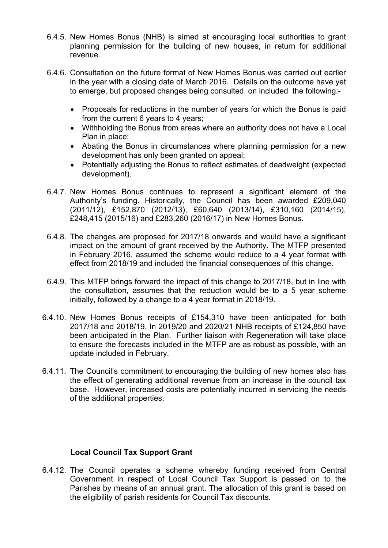- 6.4.5. New Homes Bonus (NHB) is aimed at encouraging local authorities to grant planning permission for the building of new houses, in return for additional revenue.
- 6.4.6. Consultation on the future format of New Homes Bonus was carried out earlier in the year with a closing date of March 2016. Details on the outcome have yet to emerge, but proposed changes being consulted on included the following:-
	- Proposals for reductions in the number of years for which the Bonus is paid from the current 6 years to 4 years;
	- Withholding the Bonus from areas where an authority does not have a Local Plan in place;
	- Abating the Bonus in circumstances where planning permission for a new development has only been granted on appeal;
	- Potentially adjusting the Bonus to reflect estimates of deadweight (expected development).
- 6.4.7. New Homes Bonus continues to represent a significant element of the Authority's funding. Historically, the Council has been awarded £209,040 (2011/12), £152,870 (2012/13), £60,640 (2013/14), £310,160 (2014/15), £248,415 (2015/16) and £283,260 (2016/17) in New Homes Bonus.
- 6.4.8. The changes are proposed for 2017/18 onwards and would have a significant impact on the amount of grant received by the Authority. The MTFP presented in February 2016, assumed the scheme would reduce to a 4 year format with effect from 2018/19 and included the financial consequences of this change.
- 6.4.9. This MTFP brings forward the impact of this change to 2017/18, but in line with the consultation, assumes that the reduction would be to a 5 year scheme initially, followed by a change to a 4 year format in 2018/19.
- 6.4.10. New Homes Bonus receipts of £154,310 have been anticipated for both 2017/18 and 2018/19. In 2019/20 and 2020/21 NHB receipts of £124,850 have been anticipated in the Plan. Further liaison with Regeneration will take place to ensure the forecasts included in the MTFP are as robust as possible, with an update included in February.
- 6.4.11. The Council's commitment to encouraging the building of new homes also has the effect of generating additional revenue from an increase in the council tax base. However, increased costs are potentially incurred in servicing the needs of the additional properties.

# **Local Council Tax Support Grant**

6.4.12. The Council operates a scheme whereby funding received from Central Government in respect of Local Council Tax Support is passed on to the Parishes by means of an annual grant. The allocation of this grant is based on the eligibility of parish residents for Council Tax discounts.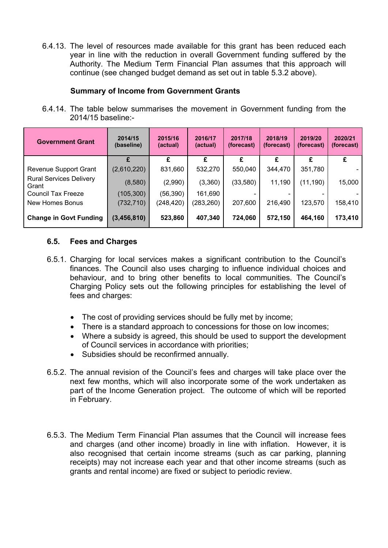6.4.13. The level of resources made available for this grant has been reduced each year in line with the reduction in overall Government funding suffered by the Authority. The Medium Term Financial Plan assumes that this approach will continue (see changed budget demand as set out in table 5.3.2 above).

## **Summary of Income from Government Grants**

6.4.14. The table below summarises the movement in Government funding from the 2014/15 baseline:-

| <b>Government Grant</b>                 | 2014/15<br>(baseline) | 2015/16<br>(actual) | 2016/17<br>(actual) | 2017/18<br>(forecast) | 2018/19<br>(forecast) | 2019/20<br>(forecast) | 2020/21<br>(forecast) |
|-----------------------------------------|-----------------------|---------------------|---------------------|-----------------------|-----------------------|-----------------------|-----------------------|
|                                         |                       | £                   | £                   | £                     | £                     | £                     | £                     |
| Revenue Support Grant                   | (2,610,220)           | 831,660             | 532,270             | 550,040               | 344,470               | 351,780               |                       |
| <b>Rural Services Delivery</b><br>Grant | (8,580)               | (2,990)             | (3,360)             | (33,580)              | 11,190                | (11, 190)             | 15,000                |
| Council Tax Freeze                      | (105, 300)            | (56,390)            | 161,690             |                       |                       |                       |                       |
| New Homes Bonus                         | (732, 710)            | (248,420)           | (283, 260)          | 207,600               | 216,490               | 123,570               | 158,410               |
| <b>Change in Govt Funding</b>           | (3,456,810)           | 523,860             | 407,340             | 724,060               | 572,150               | 464,160               | 173,410               |

## **6.5. Fees and Charges**

- 6.5.1. Charging for local services makes a significant contribution to the Council's finances. The Council also uses charging to influence individual choices and behaviour, and to bring other benefits to local communities. The Council's Charging Policy sets out the following principles for establishing the level of fees and charges:
	- The cost of providing services should be fully met by income;
	- There is a standard approach to concessions for those on low incomes;
	- Where a subsidy is agreed, this should be used to support the development of Council services in accordance with priorities;
	- Subsidies should be reconfirmed annually.
- 6.5.2. The annual revision of the Council's fees and charges will take place over the next few months, which will also incorporate some of the work undertaken as part of the Income Generation project. The outcome of which will be reported in February.
- 6.5.3. The Medium Term Financial Plan assumes that the Council will increase fees and charges (and other income) broadly in line with inflation. However, it is also recognised that certain income streams (such as car parking, planning receipts) may not increase each year and that other income streams (such as grants and rental income) are fixed or subject to periodic review.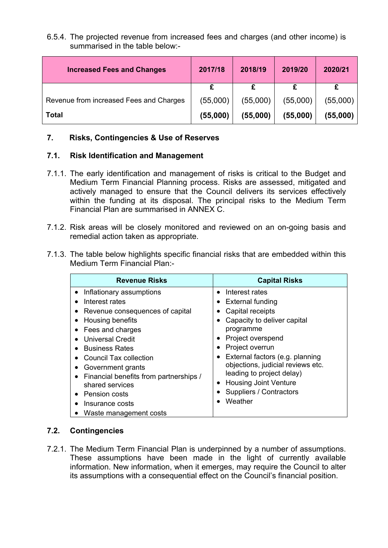#### 6.5.4. The projected revenue from increased fees and charges (and other income) is summarised in the table below:-

| <b>Increased Fees and Changes</b>       | 2017/18  | 2018/19  | 2019/20  | 2020/21  |
|-----------------------------------------|----------|----------|----------|----------|
|                                         |          |          |          |          |
| Revenue from increased Fees and Charges | (55,000) | (55,000) | (55,000) | (55,000) |
| Total                                   | (55,000) | (55,000) | (55,000) | (55,000) |

#### **7. Risks, Contingencies & Use of Reserves**

## **7.1. Risk Identification and Management**

- 7.1.1. The early identification and management of risks is critical to the Budget and Medium Term Financial Planning process. Risks are assessed, mitigated and actively managed to ensure that the Council delivers its services effectively within the funding at its disposal. The principal risks to the Medium Term Financial Plan are summarised in ANNEX C.
- 7.1.2. Risk areas will be closely monitored and reviewed on an on-going basis and remedial action taken as appropriate.
- 7.1.3. The table below highlights specific financial risks that are embedded within this Medium Term Financial Plan:-

| <b>Revenue Risks</b>                   | <b>Capital Risks</b>              |
|----------------------------------------|-----------------------------------|
| Inflationary assumptions               | Interest rates                    |
| Interest rates                         | External funding                  |
| Revenue consequences of capital        | Capital receipts                  |
| Housing benefits                       | Capacity to deliver capital       |
| Fees and charges                       | programme                         |
| Universal Credit                       | Project overspend                 |
| <b>Business Rates</b>                  | Project overrun                   |
| <b>Council Tax collection</b>          | External factors (e.g. planning   |
| Government grants                      | $\bullet$                         |
| Financial benefits from partnerships / | objections, judicial reviews etc. |
| shared services                        | leading to project delay)         |
| Pension costs                          | <b>Housing Joint Venture</b>      |
| Insurance costs                        | Suppliers / Contractors           |
| Waste management costs                 | Weather                           |

# **7.2. Contingencies**

7.2.1. The Medium Term Financial Plan is underpinned by a number of assumptions. These assumptions have been made in the light of currently available information. New information, when it emerges, may require the Council to alter its assumptions with a consequential effect on the Council's financial position.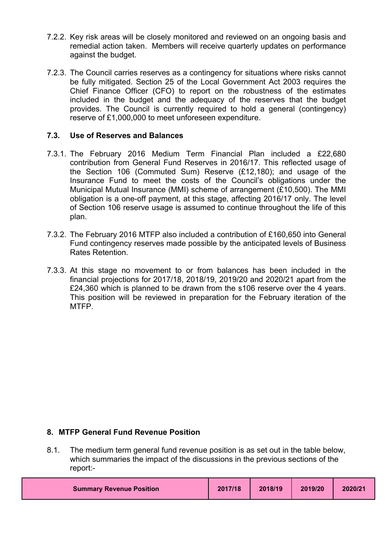- 7.2.2. Key risk areas will be closely monitored and reviewed on an ongoing basis and remedial action taken. Members will receive quarterly updates on performance against the budget.
- 7.2.3. The Council carries reserves as a contingency for situations where risks cannot be fully mitigated. Section 25 of the Local Government Act 2003 requires the Chief Finance Officer (CFO) to report on the robustness of the estimates included in the budget and the adequacy of the reserves that the budget provides. The Council is currently required to hold a general (contingency) reserve of £1,000,000 to meet unforeseen expenditure.

#### **7.3. Use of Reserves and Balances**

- 7.3.1. The February 2016 Medium Term Financial Plan included a £22,680 contribution from General Fund Reserves in 2016/17. This reflected usage of the Section 106 (Commuted Sum) Reserve (£12,180); and usage of the Insurance Fund to meet the costs of the Council's obligations under the Municipal Mutual Insurance (MMI) scheme of arrangement (£10,500). The MMI obligation is a one-off payment, at this stage, affecting 2016/17 only. The level of Section 106 reserve usage is assumed to continue throughout the life of this plan.
- 7.3.2. The February 2016 MTFP also included a contribution of £160,650 into General Fund contingency reserves made possible by the anticipated levels of Business Rates Retention.
- 7.3.3. At this stage no movement to or from balances has been included in the financial projections for 2017/18, 2018/19, 2019/20 and 2020/21 apart from the £24,360 which is planned to be drawn from the s106 reserve over the 4 years. This position will be reviewed in preparation for the February iteration of the MTFP.

# **8. MTFP General Fund Revenue Position**

8.1. The medium term general fund revenue position is as set out in the table below, which summaries the impact of the discussions in the previous sections of the report:-

| 2019/20<br>2017/18<br>2018/19<br>2020/21<br><b>Summary Revenue Position</b> |
|-----------------------------------------------------------------------------|
|-----------------------------------------------------------------------------|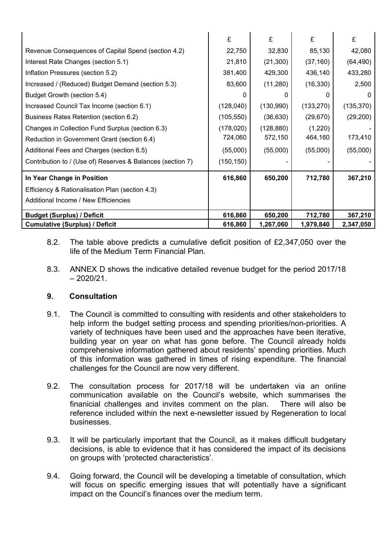|                                                            | £          | £            | £          | £          |
|------------------------------------------------------------|------------|--------------|------------|------------|
| Revenue Consequences of Capital Spend (section 4.2)        | 22,750     | 32,830       | 85,130     | 42,080     |
| Interest Rate Changes (section 5.1)                        | 21,810     | (21, 300)    | (37, 160)  | (64, 490)  |
| Inflation Pressures (section 5.2)                          | 381,400    | 429,300      | 436,140    | 433,280    |
| Increased / (Reduced) Budget Demand (section 5.3)          | 83,600     | (11, 280)    | (16, 330)  | 2,500      |
| Budget Growth (section 5.4)                                | O          | $\mathbf{r}$ |            |            |
| Increased Council Tax Income (section 6.1)                 | (128,040)  | (130,990)    | (133, 270) | (135, 370) |
| Business Rates Retention (section 6.2)                     | (105, 550) | (36, 630)    | (29, 670)  | (29, 200)  |
| Changes in Collection Fund Surplus (section 6.3)           | (178, 020) | (128, 880)   | (1,220)    |            |
| Reduction in Government Grant (section 6.4)                | 724,060    | 572,150      | 464,160    | 173,410    |
| Additional Fees and Charges (section 6.5)                  | (55,000)   | (55,000)     | (55,000)   | (55,000)   |
| Contribution to / (Use of) Reserves & Balances (section 7) | (150, 150) |              |            |            |
| In Year Change in Position                                 | 616,860    | 650,200      | 712,780    | 367,210    |
| Efficiency & Rationalisation Plan (section 4.3)            |            |              |            |            |
| Additional Income / New Efficiencies                       |            |              |            |            |
| <b>Budget (Surplus) / Deficit</b>                          | 616,860    | 650,200      | 712,780    | 367,210    |
| <b>Cumulative (Surplus) / Deficit</b>                      | 616,860    | 1,267,060    | 1,979,840  | 2,347,050  |

- 8.2. The table above predicts a cumulative deficit position of £2,347,050 over the life of the Medium Term Financial Plan.
- 8.3. ANNEX D shows the indicative detailed revenue budget for the period 2017/18  $-2020/21$

# **9. Consultation**

- 9.1. The Council is committed to consulting with residents and other stakeholders to help inform the budget setting process and spending priorities/non-priorities. A variety of techniques have been used and the approaches have been iterative, building year on year on what has gone before. The Council already holds comprehensive information gathered about residents' spending priorities. Much of this information was gathered in times of rising expenditure. The financial challenges for the Council are now very different.
- 9.2. The consultation process for 2017/18 will be undertaken via an online communication available on the Council's website, which summarises the finanicial challenges and invites comment on the plan. There will also be reference included within the next e-newsletter issued by Regeneration to local businesses.
- 9.3. It will be particularly important that the Council, as it makes difficult budgetary decisions, is able to evidence that it has considered the impact of its decisions on groups with 'protected characteristics'.
- 9.4. Going forward, the Council will be developing a timetable of consultation, which will focus on specific emerging issues that will potentially have a significant impact on the Council's finances over the medium term.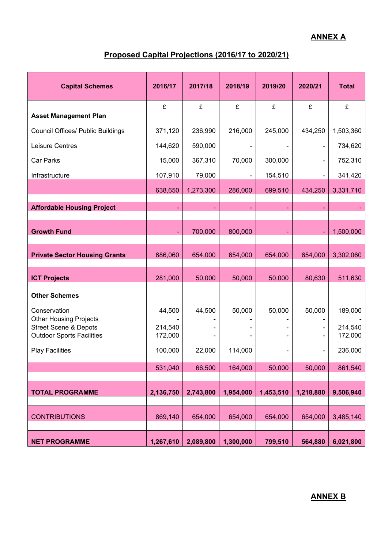# **ANNEX A**

# **Proposed Capital Projections (2016/17 to 2020/21)**

| <b>Capital Schemes</b>                                                                                | 2016/17            | 2017/18   | 2018/19                  | 2019/20   | 2020/21       | <b>Total</b>       |
|-------------------------------------------------------------------------------------------------------|--------------------|-----------|--------------------------|-----------|---------------|--------------------|
|                                                                                                       | £                  | £         | £                        | £         | £             | £                  |
| <b>Asset Management Plan</b>                                                                          |                    |           |                          |           |               |                    |
| Council Offices/ Public Buildings                                                                     | 371,120            | 236,990   | 216,000                  | 245,000   | 434,250       | 1,503,360          |
| Leisure Centres                                                                                       | 144,620            | 590,000   | $\overline{\phantom{a}}$ |           | $\frac{1}{2}$ | 734,620            |
| Car Parks                                                                                             | 15,000             | 367,310   | 70,000                   | 300,000   |               | 752,310            |
| Infrastructure                                                                                        | 107,910            | 79,000    |                          | 154,510   |               | 341,420            |
|                                                                                                       | 638,650            | 1,273,300 | 286,000                  | 699,510   | 434,250       | 3,331,710          |
| <b>Affordable Housing Project</b>                                                                     |                    |           |                          |           |               |                    |
| <b>Growth Fund</b>                                                                                    |                    | 700,000   | 800,000                  |           |               | 1,500,000          |
| <b>Private Sector Housing Grants</b>                                                                  | 686,060            | 654,000   | 654,000                  | 654,000   | 654,000       | 3,302,060          |
| <b>ICT Projects</b>                                                                                   | 281,000            | 50,000    | 50,000                   | 50,000    | 80,630        | 511,630            |
| <b>Other Schemes</b>                                                                                  |                    |           |                          |           |               |                    |
| Conservation                                                                                          | 44,500             | 44,500    | 50,000                   | 50,000    | 50,000        | 189,000            |
| <b>Other Housing Projects</b><br><b>Street Scene &amp; Depots</b><br><b>Outdoor Sports Facilities</b> | 214,540<br>172,000 |           |                          |           |               | 214,540<br>172,000 |
| <b>Play Facilities</b>                                                                                | 100,000            | 22,000    | 114,000                  |           |               | 236,000            |
|                                                                                                       | 531,040            | 66,500    | 164,000                  | 50,000    | 50,000        | 861,540            |
| <b>TOTAL PROGRAMME</b>                                                                                | 2,136,750          | 2,743,800 | 1,954,000                | 1,453,510 | 1,218,880     | 9,506,940          |
| <b>CONTRIBUTIONS</b>                                                                                  | 869,140            | 654,000   | 654,000                  | 654,000   | 654,000       | 3,485,140          |
| <b>NET PROGRAMME</b>                                                                                  | 1,267,610          | 2,089,800 | 1,300,000                | 799,510   | 564,880       | 6,021,800          |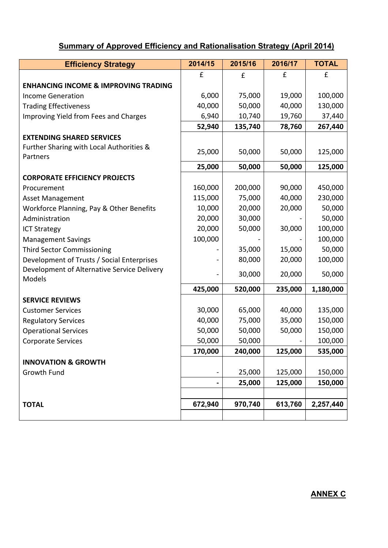# **Summary of Approved Efficiency and Rationalisation Strategy (April 2014)**

| <b>Efficiency Strategy</b>                            | 2014/15        | 2015/16 | 2016/17 | <b>TOTAL</b> |
|-------------------------------------------------------|----------------|---------|---------|--------------|
|                                                       | £              | £       | £       | £            |
| <b>ENHANCING INCOME &amp; IMPROVING TRADING</b>       |                |         |         |              |
| <b>Income Generation</b>                              | 6,000          | 75,000  | 19,000  | 100,000      |
| <b>Trading Effectiveness</b>                          | 40,000         | 50,000  | 40,000  | 130,000      |
| Improving Yield from Fees and Charges                 | 6,940          | 10,740  | 19,760  | 37,440       |
|                                                       | 52,940         | 135,740 | 78,760  | 267,440      |
| <b>EXTENDING SHARED SERVICES</b>                      |                |         |         |              |
| Further Sharing with Local Authorities &<br>Partners  | 25,000         | 50,000  | 50,000  | 125,000      |
|                                                       | 25,000         | 50,000  | 50,000  | 125,000      |
| <b>CORPORATE EFFICIENCY PROJECTS</b>                  |                |         |         |              |
| Procurement                                           | 160,000        | 200,000 | 90,000  | 450,000      |
| Asset Management                                      | 115,000        | 75,000  | 40,000  | 230,000      |
| Workforce Planning, Pay & Other Benefits              | 10,000         | 20,000  | 20,000  | 50,000       |
| Administration                                        | 20,000         | 30,000  |         | 50,000       |
| <b>ICT Strategy</b>                                   | 20,000         | 50,000  | 30,000  | 100,000      |
| <b>Management Savings</b>                             | 100,000        |         |         | 100,000      |
| <b>Third Sector Commissioning</b>                     |                | 35,000  | 15,000  | 50,000       |
| Development of Trusts / Social Enterprises            |                | 80,000  | 20,000  | 100,000      |
| Development of Alternative Service Delivery<br>Models |                | 30,000  | 20,000  | 50,000       |
|                                                       | 425,000        | 520,000 | 235,000 | 1,180,000    |
| <b>SERVICE REVIEWS</b>                                |                |         |         |              |
| <b>Customer Services</b>                              | 30,000         | 65,000  | 40,000  | 135,000      |
| <b>Regulatory Services</b>                            | 40,000         | 75,000  | 35,000  | 150,000      |
| <b>Operational Services</b>                           | 50,000         | 50,000  | 50,000  | 150,000      |
| <b>Corporate Services</b>                             | 50,000         | 50,000  |         | 100,000      |
|                                                       | 170,000        | 240,000 | 125,000 | 535,000      |
| <b>INNOVATION &amp; GROWTH</b>                        |                |         |         |              |
| Growth Fund                                           | $\blacksquare$ | 25,000  | 125,000 | 150,000      |
|                                                       | -              | 25,000  | 125,000 | 150,000      |
|                                                       |                |         |         |              |
| <b>TOTAL</b>                                          | 672,940        | 970,740 | 613,760 | 2,257,440    |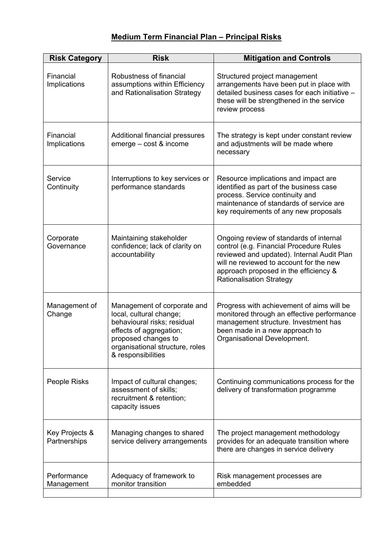# **Medium Term Financial Plan – Principal Risks**

| <b>Risk Category</b>           | <b>Risk</b>                                                                                                                                                                                      | <b>Mitigation and Controls</b>                                                                                                                                                                                                                          |
|--------------------------------|--------------------------------------------------------------------------------------------------------------------------------------------------------------------------------------------------|---------------------------------------------------------------------------------------------------------------------------------------------------------------------------------------------------------------------------------------------------------|
| Financial<br>Implications      | Robustness of financial<br>assumptions within Efficiency<br>and Rationalisation Strategy                                                                                                         | Structured project management<br>arrangements have been put in place with<br>detailed business cases for each initiative -<br>these will be strengthened in the service<br>review process                                                               |
| Financial<br>Implications      | Additional financial pressures<br>emerge - cost & income                                                                                                                                         | The strategy is kept under constant review<br>and adjustments will be made where<br>necessary                                                                                                                                                           |
| Service<br>Continuity          | Interruptions to key services or<br>performance standards                                                                                                                                        | Resource implications and impact are<br>identified as part of the business case<br>process. Service continuity and<br>maintenance of standards of service are<br>key requirements of any new proposals                                                  |
| Corporate<br>Governance        | Maintaining stakeholder<br>confidence; lack of clarity on<br>accountability                                                                                                                      | Ongoing review of standards of internal<br>control (e.g. Financial Procedure Rules<br>reviewed and updated). Internal Audit Plan<br>will ne reviewed to account for the new<br>approach proposed in the efficiency &<br><b>Rationalisation Strategy</b> |
| Management of<br>Change        | Management of corporate and<br>local, cultural change;<br>behavioural risks; residual<br>effects of aggregation;<br>proposed changes to<br>organisational structure, roles<br>& responsibilities | Progress with achievement of aims will be<br>monitored through an effective performance<br>management structure. Investment has<br>been made in a new approach to<br>Organisational Development.                                                        |
| People Risks                   | Impact of cultural changes;<br>assessment of skills;<br>recruitment & retention;<br>capacity issues                                                                                              | Continuing communications process for the<br>delivery of transformation programme                                                                                                                                                                       |
| Key Projects &<br>Partnerships | Managing changes to shared<br>service delivery arrangements                                                                                                                                      | The project management methodology<br>provides for an adequate transition where<br>there are changes in service delivery                                                                                                                                |
| Performance<br>Management      | Adequacy of framework to<br>monitor transition                                                                                                                                                   | Risk management processes are<br>embedded                                                                                                                                                                                                               |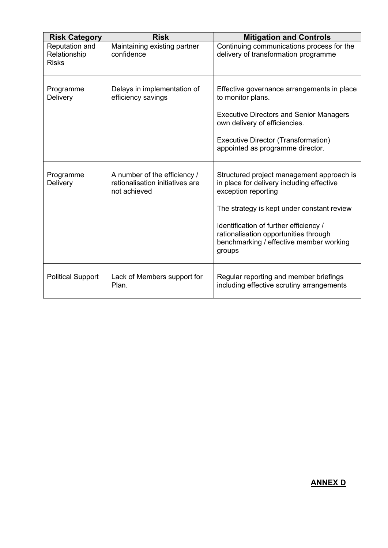| <b>Risk Category</b>                           | <b>Risk</b>                                                                     | <b>Mitigation and Controls</b>                                                                                                                                                                                                                                                                      |
|------------------------------------------------|---------------------------------------------------------------------------------|-----------------------------------------------------------------------------------------------------------------------------------------------------------------------------------------------------------------------------------------------------------------------------------------------------|
| Reputation and<br>Relationship<br><b>Risks</b> | Maintaining existing partner<br>confidence                                      | Continuing communications process for the<br>delivery of transformation programme                                                                                                                                                                                                                   |
| Programme<br>Delivery                          | Delays in implementation of<br>efficiency savings                               | Effective governance arrangements in place<br>to monitor plans.<br><b>Executive Directors and Senior Managers</b><br>own delivery of efficiencies.<br>Executive Director (Transformation)<br>appointed as programme director.                                                                       |
| Programme<br>Delivery                          | A number of the efficiency /<br>rationalisation initiatives are<br>not achieved | Structured project management approach is<br>in place for delivery including effective<br>exception reporting<br>The strategy is kept under constant review<br>Identification of further efficiency /<br>rationalisation opportunities through<br>benchmarking / effective member working<br>groups |
| <b>Political Support</b>                       | Lack of Members support for<br>Plan.                                            | Regular reporting and member briefings<br>including effective scrutiny arrangements                                                                                                                                                                                                                 |

# **ANNEX D**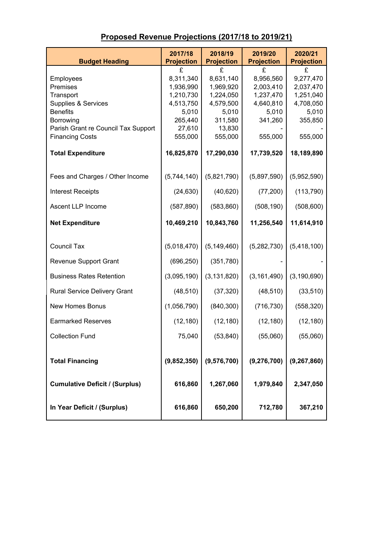| <b>Budget Heading</b>                  | 2017/18<br><b>Projection</b> | 2018/19<br><b>Projection</b> | 2019/20<br><b>Projection</b> | 2020/21<br><b>Projection</b> |
|----------------------------------------|------------------------------|------------------------------|------------------------------|------------------------------|
|                                        | £                            | £                            | £                            | £                            |
| Employees                              | 8,311,340                    | 8,631,140                    | 8,956,560                    | 9,277,470                    |
| Premises                               | 1,936,990                    | 1,969,920                    | 2,003,410                    | 2,037,470                    |
| Transport                              | 1,210,730                    | 1,224,050                    | 1,237,470                    | 1,251,040                    |
| Supplies & Services<br><b>Benefits</b> | 4,513,750<br>5,010           | 4,579,500<br>5,010           | 4,640,810<br>5,010           | 4,708,050<br>5,010           |
| Borrowing                              | 265,440                      | 311,580                      | 341,260                      | 355,850                      |
| Parish Grant re Council Tax Support    | 27,610                       | 13,830                       |                              |                              |
| <b>Financing Costs</b>                 | 555,000                      | 555,000                      | 555,000                      | 555,000                      |
| <b>Total Expenditure</b>               | 16,825,870                   | 17,290,030                   | 17,739,520                   | 18,189,890                   |
| Fees and Charges / Other Income        | (5,744,140)                  | (5,821,790)                  | (5,897,590)                  | (5,952,590)                  |
| <b>Interest Receipts</b>               | (24, 630)                    | (40, 620)                    | (77, 200)                    | (113, 790)                   |
| Ascent LLP Income                      | (587, 890)                   | (583, 860)                   | (508, 190)                   | (508, 600)                   |
| <b>Net Expenditure</b>                 | 10,469,210                   | 10,843,760                   | 11,256,540                   | 11,614,910                   |
| <b>Council Tax</b>                     | (5,018,470)                  | (5, 149, 460)                | (5,282,730)                  | (5,418,100)                  |
|                                        |                              |                              |                              |                              |
| <b>Revenue Support Grant</b>           | (696, 250)                   | (351,780)                    |                              |                              |
| <b>Business Rates Retention</b>        | (3,095,190)                  | (3, 131, 820)                | (3, 161, 490)                | (3, 190, 690)                |
| Rural Service Delivery Grant           | (48, 510)                    | (37, 320)                    | (48, 510)                    | (33, 510)                    |
| <b>New Homes Bonus</b>                 | (1,056,790)                  | (840, 300)                   | (716, 730)                   | (558, 320)                   |
| <b>Earmarked Reserves</b>              | (12, 180)                    | (12, 180)                    | (12, 180)                    | (12, 180)                    |
| <b>Collection Fund</b>                 | 75,040                       | (53, 840)                    | (55,060)                     | (55,060)                     |
| <b>Total Financing</b>                 | (9,852,350)                  | (9,576,700)                  | (9, 276, 700)                | (9, 267, 860)                |
| <b>Cumulative Deficit / (Surplus)</b>  | 616,860                      | 1,267,060                    | 1,979,840                    | 2,347,050                    |
| In Year Deficit / (Surplus)            | 616,860                      | 650,200                      | 712,780                      | 367,210                      |

# **Proposed Revenue Projections (2017/18 to 2019/21)**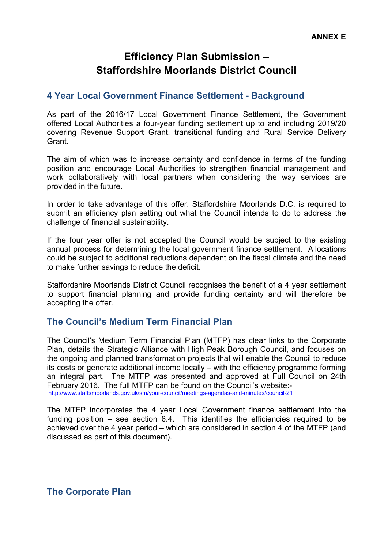# **Efficiency Plan Submission – Staffordshire Moorlands District Council**

# **4 Year Local Government Finance Settlement - Background**

As part of the 2016/17 Local Government Finance Settlement, the Government offered Local Authorities a four-year funding settlement up to and including 2019/20 covering Revenue Support Grant, transitional funding and Rural Service Delivery **Grant** 

The aim of which was to increase certainty and confidence in terms of the funding position and encourage Local Authorities to strengthen financial management and work collaboratively with local partners when considering the way services are provided in the future.

In order to take advantage of this offer, Staffordshire Moorlands D.C. is required to submit an efficiency plan setting out what the Council intends to do to address the challenge of financial sustainability.

If the four year offer is not accepted the Council would be subject to the existing annual process for determining the local government finance settlement. Allocations could be subject to additional reductions dependent on the fiscal climate and the need to make further savings to reduce the deficit.

Staffordshire Moorlands District Council recognises the benefit of a 4 year settlement to support financial planning and provide funding certainty and will therefore be accepting the offer.

# **The Council's Medium Term Financial Plan**

The Council's Medium Term Financial Plan (MTFP) has clear links to the Corporate Plan, details the Strategic Alliance with High Peak Borough Council, and focuses on the ongoing and planned transformation projects that will enable the Council to reduce its costs or generate additional income locally – with the efficiency programme forming an integral part. The MTFP was presented and approved at Full Council on 24th February 2016. The full MTFP can be found on the Council's website: <http://www.staffsmoorlands.gov.uk/sm/your-council/meetings-agendas-and-minutes/council-21>

The MTFP incorporates the 4 year Local Government finance settlement into the funding position – see section 6.4. This identifies the efficiencies required to be achieved over the 4 year period – which are considered in section 4 of the MTFP (and discussed as part of this document).

**The Corporate Plan**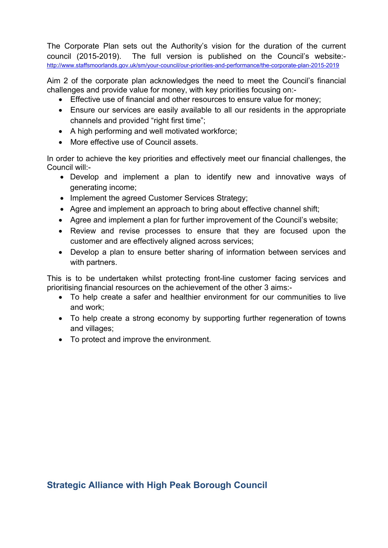The Corporate Plan sets out the Authority's vision for the duration of the current council (2015-2019). The full version is published on the Council's website: <http://www.staffsmoorlands.gov.uk/sm/your-council/our-priorities-and-performance/the-corporate-plan-2015-2019>

Aim 2 of the corporate plan acknowledges the need to meet the Council's financial challenges and provide value for money, with key priorities focusing on:-

- Effective use of financial and other resources to ensure value for money;
- Ensure our services are easily available to all our residents in the appropriate channels and provided "right first time";
- A high performing and well motivated workforce;
- More effective use of Council assets.

In order to achieve the key priorities and effectively meet our financial challenges, the Council will:-

- Develop and implement a plan to identify new and innovative ways of generating income;
- Implement the agreed Customer Services Strategy;
- Agree and implement an approach to bring about effective channel shift;
- Agree and implement a plan for further improvement of the Council's website;
- Review and revise processes to ensure that they are focused upon the customer and are effectively aligned across services;
- Develop a plan to ensure better sharing of information between services and with partners.

This is to be undertaken whilst protecting front-line customer facing services and prioritising financial resources on the achievement of the other 3 aims:-

- To help create a safer and healthier environment for our communities to live and work;
- To help create a strong economy by supporting further regeneration of towns and villages;
- To protect and improve the environment.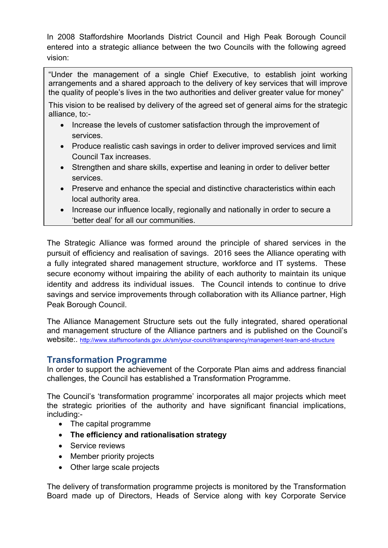In 2008 Staffordshire Moorlands District Council and High Peak Borough Council entered into a strategic alliance between the two Councils with the following agreed vision:

"Under the management of a single Chief Executive, to establish joint working arrangements and a shared approach to the delivery of key services that will improve the quality of people's lives in the two authorities and deliver greater value for money"

This vision to be realised by delivery of the agreed set of general aims for the strategic alliance, to:-

- Increase the levels of customer satisfaction through the improvement of services.
- Produce realistic cash savings in order to deliver improved services and limit Council Tax increases.
- Strengthen and share skills, expertise and leaning in order to deliver better services.
- Preserve and enhance the special and distinctive characteristics within each local authority area.
- Increase our influence locally, regionally and nationally in order to secure a 'better deal' for all our communities.

The Strategic Alliance was formed around the principle of shared services in the pursuit of efficiency and realisation of savings. 2016 sees the Alliance operating with a fully integrated shared management structure, workforce and IT systems. These secure economy without impairing the ability of each authority to maintain its unique identity and address its individual issues. The Council intends to continue to drive savings and service improvements through collaboration with its Alliance partner, High Peak Borough Council.

The Alliance Management Structure sets out the fully integrated, shared operational and management structure of the Alliance partners and is published on the Council's website:. <http://www.staffsmoorlands.gov.uk/sm/your-council/transparency/management-team-and-structure>

# **Transformation Programme**

In order to support the achievement of the Corporate Plan aims and address financial challenges, the Council has established a Transformation Programme.

The Council's 'transformation programme' incorporates all major projects which meet the strategic priorities of the authority and have significant financial implications, including:-

- The capital programme
- **The efficiency and rationalisation strategy**
- Service reviews
- Member priority projects
- Other large scale projects

The delivery of transformation programme projects is monitored by the Transformation Board made up of Directors, Heads of Service along with key Corporate Service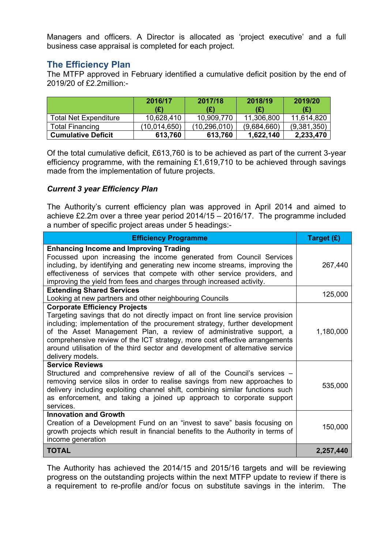Managers and officers. A Director is allocated as 'project executive' and a full business case appraisal is completed for each project.

# **The Efficiency Plan**

The MTFP approved in February identified a cumulative deficit position by the end of 2019/20 of £2.2million:-

|                              | 2016/17<br>(£) | 2017/18<br>(£) | 2018/19<br>(£) | 2019/20<br>(£) |
|------------------------------|----------------|----------------|----------------|----------------|
| <b>Total Net Expenditure</b> | 10,628,410     | 10,909,770     | 11,306,800     | 11,614,820     |
| <b>Total Financing</b>       | (10,014,650)   | (10,296,010)   | (9,684,660)    | (9,381,350)    |
| <b>Cumulative Deficit</b>    | 613,760        | 613,760        | 1,622,140      | 2,233,470      |

Of the total cumulative deficit, £613,760 is to be achieved as part of the current 3-year efficiency programme, with the remaining £1,619,710 to be achieved through savings made from the implementation of future projects.

# *Current 3 year Efficiency Plan*

The Authority's current efficiency plan was approved in April 2014 and aimed to achieve £2.2m over a three year period 2014/15 – 2016/17. The programme included a number of specific project areas under 5 headings:-

| <b>Efficiency Programme</b>                                                                                                                                                                                                                                                                                                                                                                                                                                   | Target (£) |
|---------------------------------------------------------------------------------------------------------------------------------------------------------------------------------------------------------------------------------------------------------------------------------------------------------------------------------------------------------------------------------------------------------------------------------------------------------------|------------|
| <b>Enhancing Income and Improving Trading</b><br>Focussed upon increasing the income generated from Council Services<br>including, by identifying and generating new income streams, improving the<br>effectiveness of services that compete with other service providers, and<br>improving the yield from fees and charges through increased activity.                                                                                                       | 267,440    |
| <b>Extending Shared Services</b><br>Looking at new partners and other neighbouring Councils                                                                                                                                                                                                                                                                                                                                                                   | 125,000    |
| <b>Corporate Efficiency Projects</b><br>Targeting savings that do not directly impact on front line service provision<br>including; implementation of the procurement strategy, further development<br>of the Asset Management Plan, a review of administrative support, a<br>comprehensive review of the ICT strategy, more cost effective arrangements<br>around utilisation of the third sector and development of alternative service<br>delivery models. | 1,180,000  |
| <b>Service Reviews</b><br>Structured and comprehensive review of all of the Council's services –<br>removing service silos in order to realise savings from new approaches to<br>delivery including exploiting channel shift, combining similar functions such<br>as enforcement, and taking a joined up approach to corporate support<br>services.                                                                                                           | 535,000    |
| <b>Innovation and Growth</b><br>Creation of a Development Fund on an "invest to save" basis focusing on<br>growth projects which result in financial benefits to the Authority in terms of<br>income generation                                                                                                                                                                                                                                               | 150,000    |
| <b>TOTAL</b>                                                                                                                                                                                                                                                                                                                                                                                                                                                  | 2,257,440  |

The Authority has achieved the 2014/15 and 2015/16 targets and will be reviewing progress on the outstanding projects within the next MTFP update to review if there is a requirement to re-profile and/or focus on substitute savings in the interim. The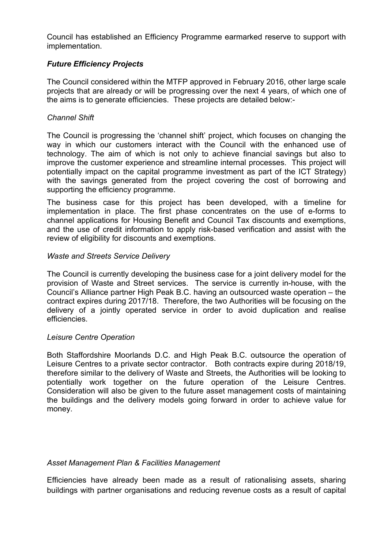Council has established an Efficiency Programme earmarked reserve to support with implementation.

## *Future Efficiency Projects*

The Council considered within the MTFP approved in February 2016, other large scale projects that are already or will be progressing over the next 4 years, of which one of the aims is to generate efficiencies. These projects are detailed below:-

#### *Channel Shift*

The Council is progressing the 'channel shift' project, which focuses on changing the way in which our customers interact with the Council with the enhanced use of technology. The aim of which is not only to achieve financial savings but also to improve the customer experience and streamline internal processes. This project will potentially impact on the capital programme investment as part of the ICT Strategy) with the savings generated from the project covering the cost of borrowing and supporting the efficiency programme.

The business case for this project has been developed, with a timeline for implementation in place. The first phase concentrates on the use of e-forms to channel applications for Housing Benefit and Council Tax discounts and exemptions, and the use of credit information to apply risk-based verification and assist with the review of eligibility for discounts and exemptions.

#### *Waste and Streets Service Delivery*

The Council is currently developing the business case for a joint delivery model for the provision of Waste and Street services. The service is currently in-house, with the Council's Alliance partner High Peak B.C. having an outsourced waste operation – the contract expires during 2017/18. Therefore, the two Authorities will be focusing on the delivery of a jointly operated service in order to avoid duplication and realise efficiencies.

#### *Leisure Centre Operation*

Both Staffordshire Moorlands D.C. and High Peak B.C. outsource the operation of Leisure Centres to a private sector contractor. Both contracts expire during 2018/19, therefore similar to the delivery of Waste and Streets, the Authorities will be looking to potentially work together on the future operation of the Leisure Centres. Consideration will also be given to the future asset management costs of maintaining the buildings and the delivery models going forward in order to achieve value for money.

#### *Asset Management Plan & Facilities Management*

Efficiencies have already been made as a result of rationalising assets, sharing buildings with partner organisations and reducing revenue costs as a result of capital